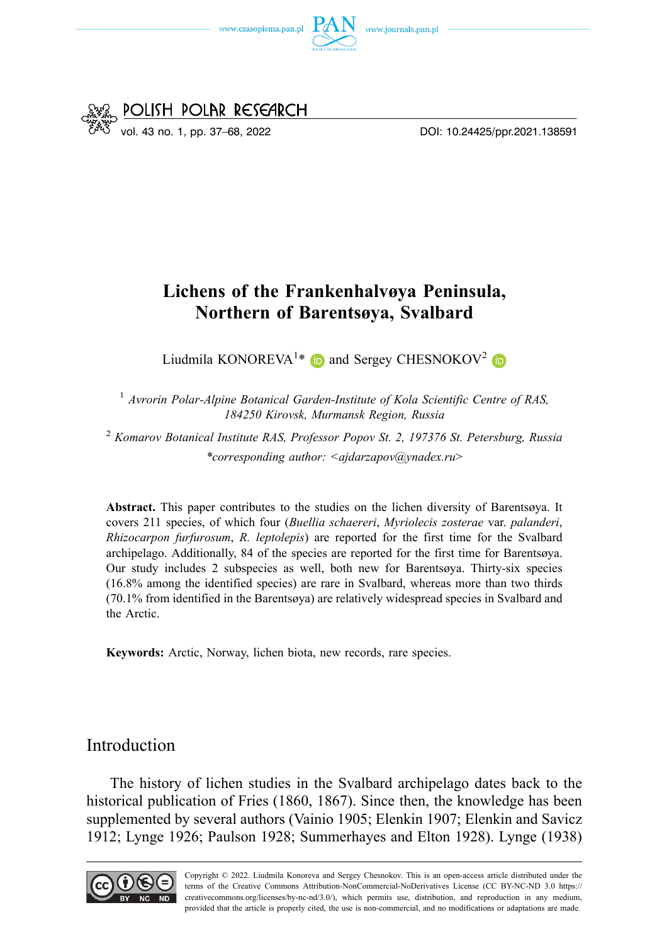



# **Lichens of the Frankenhalvøya Peninsula, Northern of Barentsøya, Svalbard**

Liudmila KONOREVA<sup>1\*</sup> iD and Sergey CHESNOKOV<sup>2</sup>

<sup>1</sup> Avrorin Polar-Alpine Botanical Garden-Institute of Kola Scientific Centre of RAS, *184250 Kirovsk, Murmansk Region, Russia* 

<sup>2</sup>*Komarov Botanical Institute RAS, Professor Popov St. 2, 197376 St. Petersburg, Russia \*corresponding author: [<ajdarzapov@ynadex.ru](mailto:ajdarzapov@ynadex.ru)*>

**Abstract.** This paper contributes to the studies on the lichen diversity of Barentsøya. It covers 211 species, of which four (*Buellia schaereri*, *Myriolecis zosterae* var. *palanderi*, *Rhizocarpon furfurosum*, *R. leptolepis*) are reported for the first time for the Svalbard archipelago. Additionally, 84 of the species are reported for the first time for Barentsøya. Our study includes 2 subspecies as well, both new for Barentsøya. Thirty-six species (16.8% among the identified species) are rare in Svalbard, whereas more than two thirds (70.1% from identified in the Barentsøya) are relatively widespread species in Svalbard and the Arctic.

**Keywords:** Arctic, Norway, lichen biota, new records, rare species.

### Introduction

The history of lichen studies in the Svalbard archipelago dates back to the historical publication of Fries (1860, 1867). Since then, the knowledge has been supplemented by several authors (Vainio 1905; Elenkin 1907; Elenkin and Savicz 1912; Lynge 1926; Paulson 1928; Summerhayes and Elton 1928). Lynge (1938)

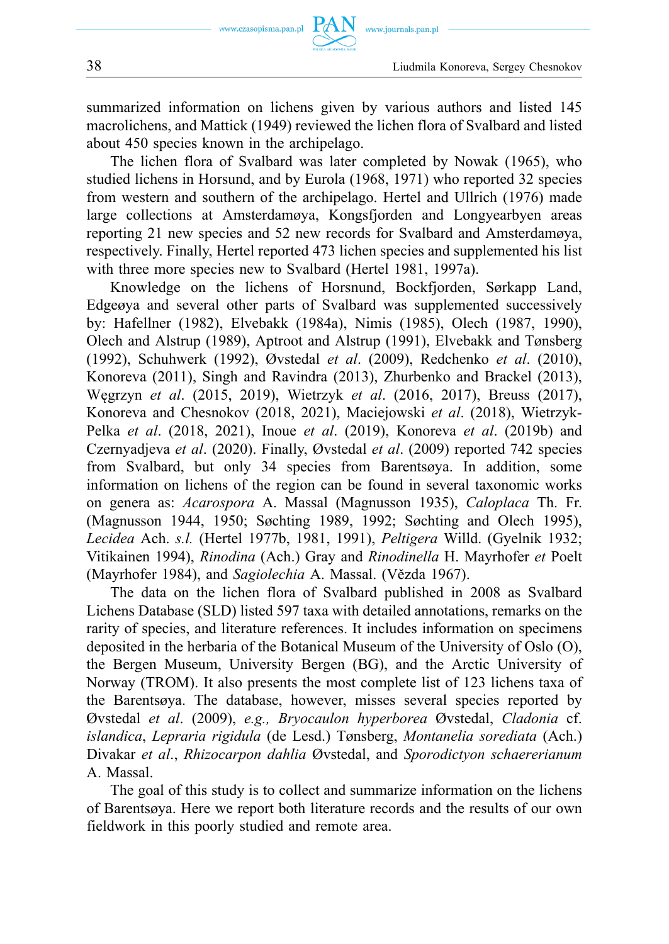summarized information on lichens given by various authors and listed 145 macrolichens, and Mattick (1949) reviewed the lichen flora of Svalbard and listed about 450 species known in the archipelago.

The lichen flora of Svalbard was later completed by Nowak (1965), who studied lichens in Horsund, and by Eurola (1968, 1971) who reported 32 species from western and southern of the archipelago. Hertel and Ullrich (1976) made large collections at Amsterdamøya, Kongsfjorden and Longyearbyen areas reporting 21 new species and 52 new records for Svalbard and Amsterdamøya, respectively. Finally, Hertel reported 473 lichen species and supplemented his list with three more species new to Svalbard (Hertel 1981, 1997a).

Knowledge on the lichens of Horsnund, Bockfjorden, Sørkapp Land, Edgeøya and several other parts of Svalbard was supplemented successively by: Hafellner (1982), Elvebakk (1984a), Nimis (1985), Olech (1987, 1990), Olech and Alstrup (1989), Aptroot and Alstrup (1991), Elvebakk and Tønsberg (1992), Schuhwerk (1992), Øvstedal *et al*. (2009), Redchenko *et al*. (2010), Konoreva (2011), Singh and Ravindra (2013), Zhurbenko and Brackel (2013), Węgrzyn *et al*. (2015, 2019), Wietrzyk *et al*. (2016, 2017), Breuss (2017), Konoreva and Chesnokov (2018, 2021), Maciejowski *et al*. (2018), Wietrzyk-Pelka *et al*. (2018, 2021), Inoue *et al*. (2019), Konoreva *et al*. (2019b) and Czernyadjeva *et al*. (2020). Finally, Øvstedal *et al*. (2009) reported 742 species from Svalbard, but only 34 species from Barentsøya. In addition, some information on lichens of the region can be found in several taxonomic works on genera as: *Acarospora* A. Massal (Magnusson 1935), *Caloplaca* Th. Fr. (Magnusson 1944, 1950; Søchting 1989, 1992; Søchting and Olech 1995), *Lecidea* Ach. *s.l.* (Hertel 1977b, 1981, 1991), *Peltigera* Willd. (Gyelnik 1932; Vitikainen 1994), *Rinodina* (Ach.) Gray and *Rinodinella* H. Mayrhofer *et* Poelt (Mayrhofer 1984), and *Sagiolechia* A. Massal. (Vězda 1967).

The data on the lichen flora of Svalbard published in 2008 as Svalbard Lichens Database (SLD) listed 597 taxa with detailed annotations, remarks on the rarity of species, and literature references. It includes information on specimens deposited in the herbaria of the Botanical Museum of the University of Oslo (O), the Bergen Museum, University Bergen (BG), and the Arctic University of Norway (TROM). It also presents the most complete list of 123 lichens taxa of the Barentsøya. The database, however, misses several species reported by Øvstedal *et al*. (2009), *e.g., Bryocaulon hyperborea* Øvstedal, *Cladonia* cf. *islandica*, *Lepraria rigidula* (de Lesd.) Tønsberg, *Montanelia sorediata* (Ach.) Divakar *et al*., *Rhizocarpon dahlia* Øvstedal, and *Sporodictyon schaererianum*  A. Massal.

The goal of this study is to collect and summarize information on the lichens of Barentsøya. Here we report both literature records and the results of our own fieldwork in this poorly studied and remote area.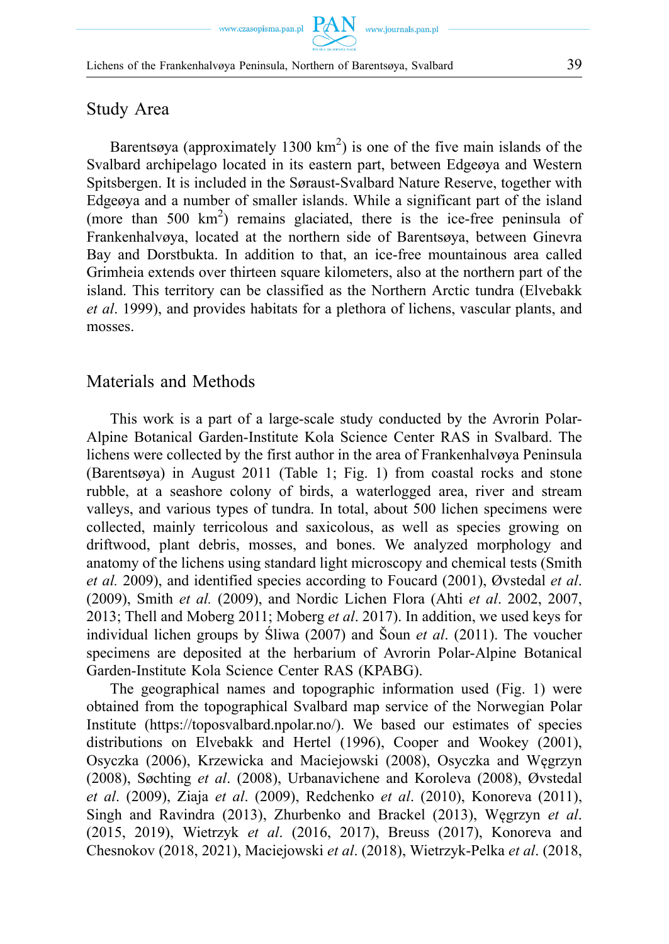Barentsøya (approximately 1300  $km^2$ ) is one of the five main islands of the Svalbard archipelago located in its eastern part, between Edgeøya and Western Spitsbergen. It is included in the Søraust-Svalbard Nature Reserve, together with Edgeøya and a number of smaller islands. While a significant part of the island (more than 500 km<sup>2</sup>) remains glaciated, there is the ice-free peninsula of Frankenhalvøya, located at the northern side of Barentsøya, between Ginevra Bay and Dorstbukta. In addition to that, an ice-free mountainous area called Grimheia extends over thirteen square kilometers, also at the northern part of the island. This territory can be classified as the Northern Arctic tundra (Elvebakk *et al*. 1999), and provides habitats for a plethora of lichens, vascular plants, and mosses.

### Materials and Methods

This work is a part of a large-scale study conducted by the Avrorin Polar-Alpine Botanical Garden-Institute Kola Science Center RAS in Svalbard. The lichens were collected by the first author in the area of Frankenhalvøya Peninsula (Barentsøya) in August 2011 (Table 1; Fig. 1) from coastal rocks and stone rubble, at a seashore colony of birds, a waterlogged area, river and stream valleys, and various types of tundra. In total, about 500 lichen specimens were collected, mainly terricolous and saxicolous, as well as species growing on driftwood, plant debris, mosses, and bones. We analyzed morphology and anatomy of the lichens using standard light microscopy and chemical tests (Smith *et al.* 2009), and identified species according to Foucard (2001), Øvstedal *et al*. (2009), Smith *et al.* (2009), and Nordic Lichen Flora (Ahti *et al*. 2002, 2007, 2013; Thell and Moberg 2011; Moberg *et al*. 2017). In addition, we used keys for individual lichen groups by Śliwa (2007) and Šoun *et al*. (2011). The voucher specimens are deposited at the herbarium of Avrorin Polar-Alpine Botanical Garden-Institute Kola Science Center RAS (KPABG).

The geographical names and topographic information used (Fig. 1) were obtained from the topographical Svalbard map service of the Norwegian Polar Institute ([https://toposvalbard.npolar.no/\).](https://toposvalbard.npolar.no/)) We based our estimates of species distributions on Elvebakk and Hertel (1996), Cooper and Wookey (2001), Osyczka (2006), Krzewicka and Maciejowski (2008), Osyczka and Węgrzyn (2008), Søchting *et al*. (2008), Urbanavichene and Koroleva (2008), Øvstedal *et al*. (2009), Ziaja *et al*. (2009), Redchenko *et al*. (2010), Konoreva (2011), Singh and Ravindra (2013), Zhurbenko and Brackel (2013), Węgrzyn *et al*. (2015, 2019), Wietrzyk *et al*. (2016, 2017), Breuss (2017), Konoreva and Chesnokov (2018, 2021), Maciejowski *et al*. (2018), Wietrzyk-Pelka *et al*. (2018,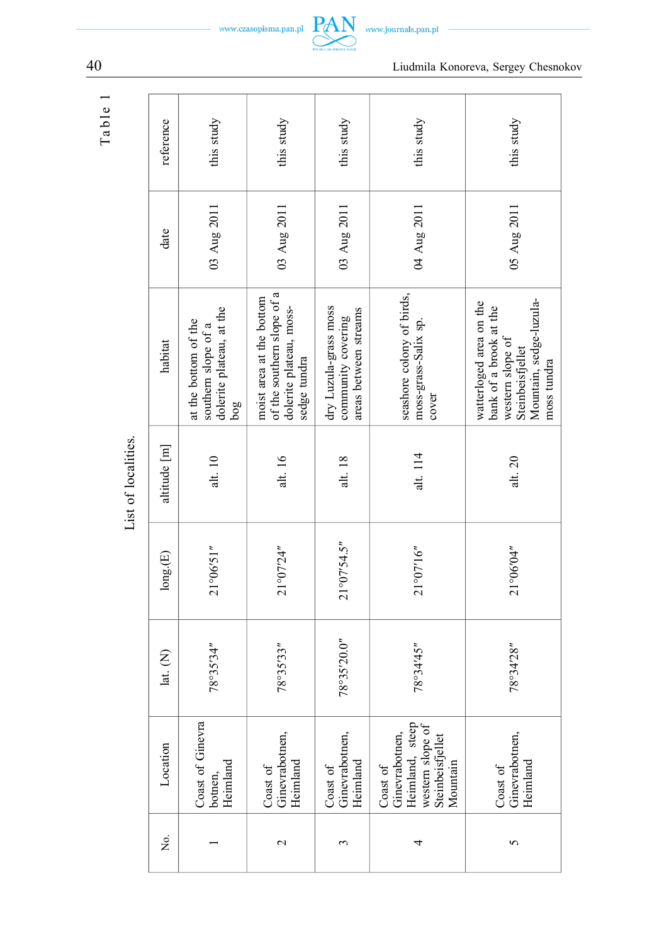| ω      |
|--------|
| ≏      |
| ದ<br>⊢ |

| reference    | this study                                                                     | this study                                                                                        | this study                                                           | this study                                                                                        | this study                                                                                                                          |
|--------------|--------------------------------------------------------------------------------|---------------------------------------------------------------------------------------------------|----------------------------------------------------------------------|---------------------------------------------------------------------------------------------------|-------------------------------------------------------------------------------------------------------------------------------------|
| date         | 03 Aug 2011                                                                    | 03 Aug 2011                                                                                       | 03 Aug 2011                                                          | 04 Aug 2011                                                                                       | 05 Aug 2011                                                                                                                         |
| habitat      | dolerite plateau, at the<br>at the bottom of the<br>southern slope of a<br>50g | of the southern slope of a<br>moist area at the bottom<br>dolerite plateau, moss-<br>sedge tundra | dry Luzula-grass moss<br>areas between streams<br>community covering | seashore colony of birds,<br>moss-grass-Salix sp.<br>cover                                        | Mountain, sedge-luzula-<br>watterloged area on the<br>bank of a brook at the<br>western slope of<br>Steinbeisfjellet<br>moss tundra |
| altitude [m] | alt. 10                                                                        | alt. 16                                                                                           | alt. 18                                                              | alt. 114                                                                                          | alt. $20$                                                                                                                           |
| long(E)      | 21°06'51"                                                                      | 21°07'24"                                                                                         | $21^{\circ}07'54.5''$                                                | 21°07'16''                                                                                        | 21°06'04"                                                                                                                           |
| lat. (N)     | 78°35'34"                                                                      | 78°35'33"                                                                                         | 78°35'20.0"                                                          | 78°34'45"                                                                                         | 78°34'28"                                                                                                                           |
| Location     | Coast of Ginevra<br>botnen,<br>Heimland                                        | Ginevrabotnen,<br>Heimland<br>Coast of                                                            | Ginevrabotnen,<br>Heimland<br>Coast of                               | Ginevrabotnen,<br>Heimland, steep<br>western slope of<br>Steinbeisfjellet<br>Mountain<br>Coast of | Ginevrabotnen,<br>Heimland<br>Coast of                                                                                              |
| Χo.          |                                                                                | $\mathbf 2$                                                                                       | 3                                                                    | 4                                                                                                 | 5                                                                                                                                   |



40 Liudmila Konoreva, Sergey Chesnokov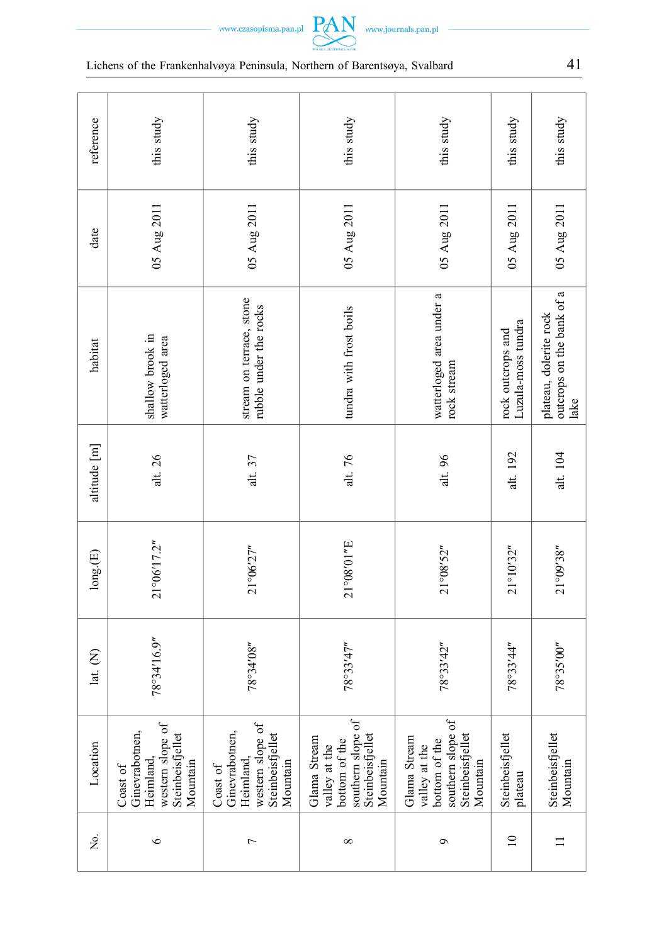



| ٠ |  |  |  |  |  |  |  |  |
|---|--|--|--|--|--|--|--|--|
|   |  |  |  |  |  |  |  |  |
|   |  |  |  |  |  |  |  |  |
|   |  |  |  |  |  |  |  |  |
|   |  |  |  |  |  |  |  |  |
|   |  |  |  |  |  |  |  |  |
|   |  |  |  |  |  |  |  |  |

| reference                    | this study                                                                                  | this study                                                                                  | this study                                                                                          | this study                                                                                          | this study                  | this study                                                  |
|------------------------------|---------------------------------------------------------------------------------------------|---------------------------------------------------------------------------------------------|-----------------------------------------------------------------------------------------------------|-----------------------------------------------------------------------------------------------------|-----------------------------|-------------------------------------------------------------|
| date                         | 05 Aug 2011                                                                                 | 05 Aug 2011                                                                                 | 05 Aug 2011                                                                                         | 05 Aug 2011                                                                                         | 05 Aug 2011                 | 05 Aug 2011                                                 |
| habitat                      | shallow brook in<br>watterloged area                                                        | stream on terrace, stone<br>rubble under the rocks                                          | tundra with frost boils                                                                             | watterloged area under a<br>rock stream                                                             |                             | outcrops on the bank of a<br>plateau, dolerite rock<br>lake |
| altitude [m]                 | alt. 26                                                                                     | alt. $37$                                                                                   | alt. 76                                                                                             | alt. 96                                                                                             | alt. 192                    | alt. 104                                                    |
| $\mathsf{long}.\mathsf{(E)}$ | $21^{\circ}06'17.2''$                                                                       | 21°06'27"                                                                                   | 21°08'01"E<br>21°08'52"                                                                             |                                                                                                     | 21°10'32"                   | 21°09'38"                                                   |
| lat. (N)                     | 78°34'16.9"                                                                                 | "80,78°34                                                                                   | 78°33'47"<br>78°33'42"                                                                              |                                                                                                     | 78°33'44"                   | 78°35'00"                                                   |
| Location                     | western slope of<br>Ginevrabotnen,<br>Steinbeisfjellet<br>Heimland,<br>Mountain<br>Coast of | western slope of<br>Ginevrabotnen,<br>Steinbeisfjellet<br>Heimland,<br>Mountain<br>Coast of | southern slope of<br>Steinbeisfjellet<br>Glama Stream<br>bottom of the<br>valley at the<br>Mountain | southern slope of<br>Steinbeisfjellet<br>Glama Stream<br>bottom of the<br>valley at the<br>Mountain | Steinbeisfjellet<br>plateau | Steinbeisfjellet<br>Mountain                                |
| Σó,                          | $\circ$                                                                                     | $\overline{ }$                                                                              | $\infty$                                                                                            | $\circ$                                                                                             | $\equiv$                    |                                                             |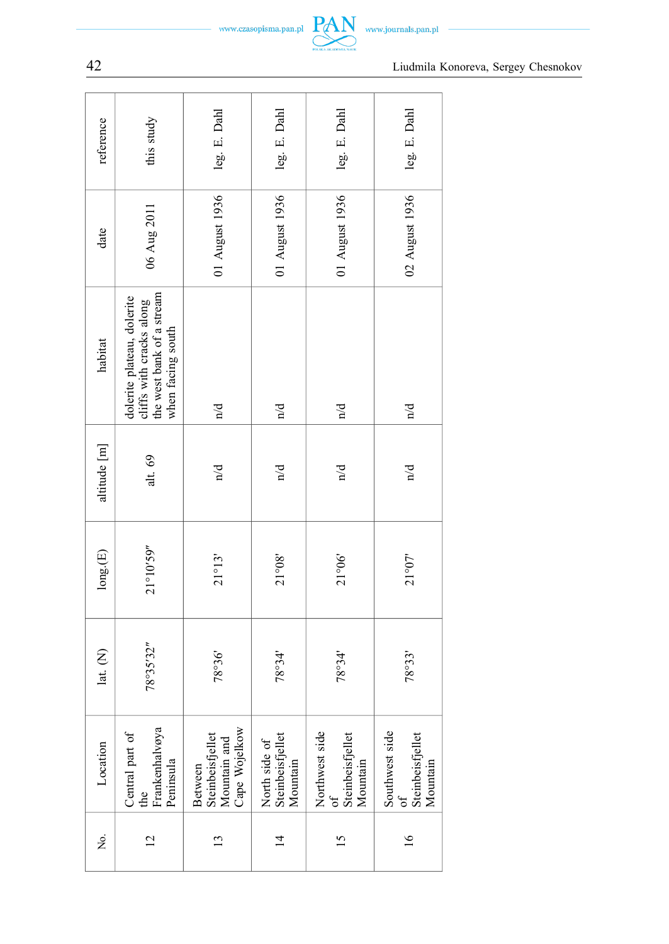| www.czasopisma.pan.j |  |
|----------------------|--|
|                      |  |



| reference    | this study                                                                                               | leg. E. Dahl                                                 | leg. E. Dahl                                  | leg. E. Dahl                                   | leg. E. Dahl                                             |
|--------------|----------------------------------------------------------------------------------------------------------|--------------------------------------------------------------|-----------------------------------------------|------------------------------------------------|----------------------------------------------------------|
| date         | 06 Aug 2011                                                                                              | 01 August 1936                                               | 01 August 1936                                | 01 August 1936                                 | 02 August 1936                                           |
| habitat      | cliffs with cracks along<br>the west bank of a stream<br>dolerite plateau, dolerite<br>when facing south | $\sum_{n=1}^{\infty}$                                        | $\frac{1}{2}$                                 | $\sum_{n=1}^{\infty}$                          | $\sum_{n=1}^{\infty}$                                    |
| altitude [m] | alt. 69                                                                                                  | $\sum_{n=1}^{\infty}$                                        | $\mathbf{p}/\mathbf{q}$                       | $\sum_{n=1}^{\infty}$                          | $\sum_{n=1}^{\infty}$                                    |
| long(E)      | 21°10'59"                                                                                                | 21°13'                                                       | 21°08'                                        | 21°06'                                         | 21°07'                                                   |
| lat. (N)     | 78°35'32"                                                                                                | 18°36'                                                       | 78°34'                                        | 78°34'                                         | 78°33'                                                   |
| Location     | Frankenhalvøya<br>Central part of<br>Peninsula<br>the                                                    | Cape Wojelkow<br>Steinbeisfjellet<br>Mountain and<br>Between | North side of<br>Steinbeisfjellet<br>Mountain | Northwest side<br>Steinbeisfjellet<br>Mountain | Southwest side<br>Steinbeisfjellet<br>Mountain<br>ზ<br>თ |
| ,<br>Ž       | $\overline{c}$                                                                                           | $\overline{13}$                                              | $\overline{4}$                                | $\overline{15}$                                | $\frac{6}{2}$                                            |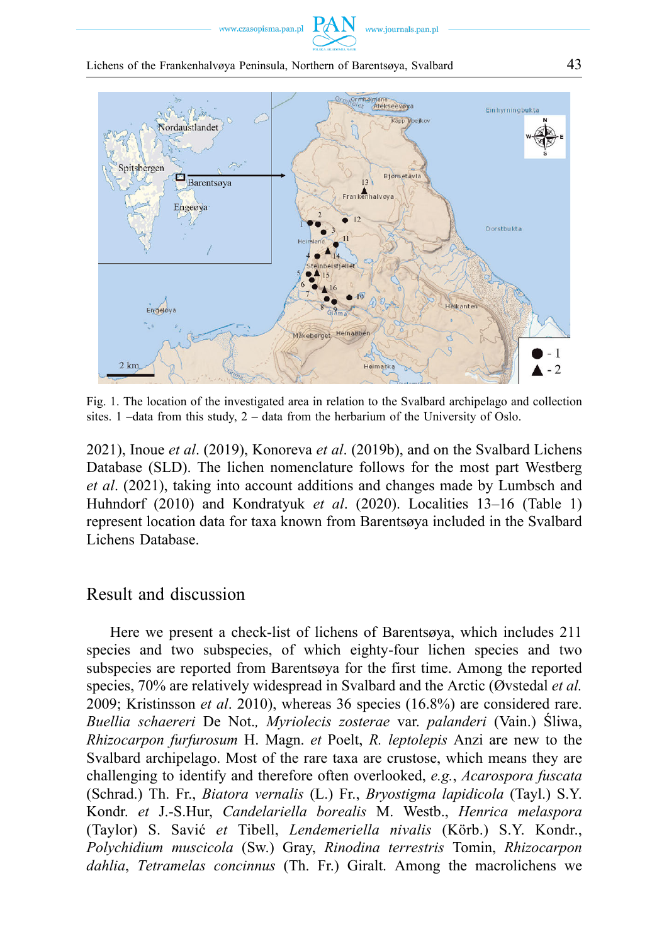www.czasopisma.pan.pl

Lichens of the Frankenhalvøya Peninsula, Northern of Barentsøya, Svalbard 43



Fig. 1. The location of the investigated area in relation to the Svalbard archipelago and collection sites. 1 –data from this study, 2 – data from the herbarium of the University of Oslo.

2021), Inoue *et al*. (2019), Konoreva *et al*. (2019b), and on the Svalbard Lichens Database (SLD). The lichen nomenclature follows for the most part Westberg *et al*. (2021), taking into account additions and changes made by Lumbsch and Huhndorf (2010) and Kondratyuk *et al*. (2020). Localities 13–16 (Table 1) represent location data for taxa known from Barentsøya included in the Svalbard Lichens Database.

#### Result and discussion

Here we present a check-list of lichens of Barentsøya, which includes 211 species and two subspecies, of which eighty-four lichen species and two subspecies are reported from Barentsøya for the first time. Among the reported species, 70% are relatively widespread in Svalbard and the Arctic (Øvstedal *et al.*  2009; Kristinsson *et al*. 2010), whereas 36 species (16.8%) are considered rare. *Buellia schaereri* De Not.*, Myriolecis zosterae* var. *palanderi* (Vain.) Śliwa, *Rhizocarpon furfurosum* H. Magn. *et* Poelt, *R. leptolepis* Anzi are new to the Svalbard archipelago. Most of the rare taxa are crustose, which means they are challenging to identify and therefore often overlooked, *e.g.*, *Acarospora fuscata*  (Schrad.) Th. Fr., *Biatora vernalis* (L.) Fr., *Bryostigma lapidicola* (Tayl.) S.Y. Kondr. *et* J.-S.Hur, *Candelariella borealis* M. Westb., *Henrica melaspora*  (Taylor) S. Savić *et* Tibell, *Lendemeriella nivalis* (Körb.) S.Y. Kondr., *Polychidium muscicola* (Sw.) Gray, *Rinodina terrestris* Tomin, *Rhizocarpon dahlia*, *Tetramelas concinnus* (Th. Fr.) Giralt. Among the macrolichens we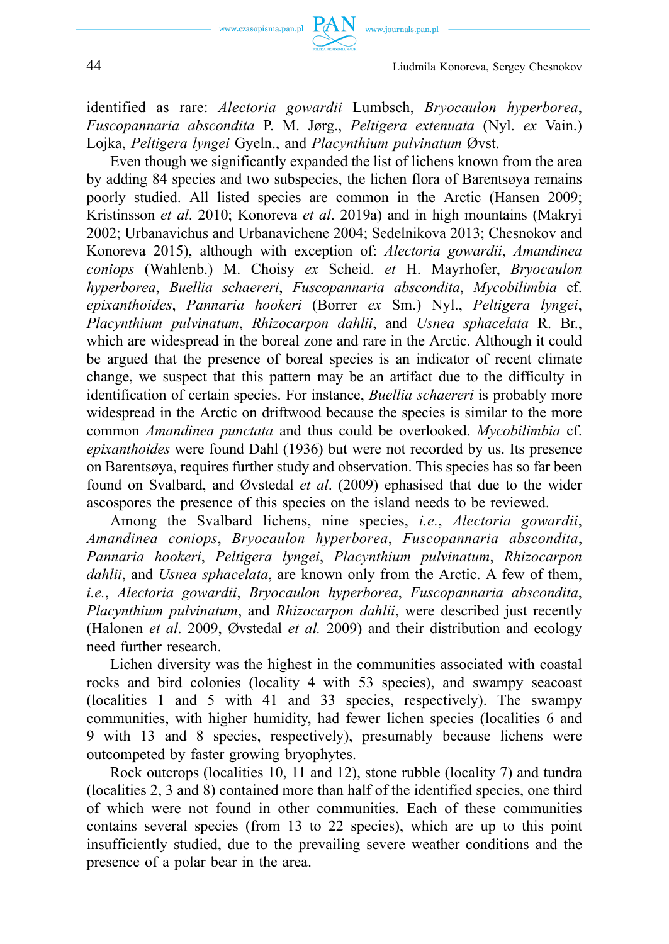identified as rare: *Alectoria gowardii* Lumbsch, *Bryocaulon hyperborea*, *Fuscopannaria abscondita* P. M. Jørg., *Peltigera extenuata* (Nyl. *ex* Vain.) Lojka, *Peltigera lyngei* Gyeln., and *Placynthium pulvinatum* Øvst.

Even though we significantly expanded the list of lichens known from the area by adding 84 species and two subspecies, the lichen flora of Barentsøya remains poorly studied. All listed species are common in the Arctic (Hansen 2009; Kristinsson *et al*. 2010; Konoreva *et al*. 2019a) and in high mountains (Makryi 2002; Urbanavichus and Urbanavichene 2004; Sedelnikova 2013; Chesnokov and Konoreva 2015), although with exception of: *Alectoria gowardii*, *Amandinea coniops* (Wahlenb.) M. Choisy *ex* Scheid. *et* H. Mayrhofer, *Bryocaulon hyperborea*, *Buellia schaereri*, *Fuscopannaria abscondita*, *Mycobilimbia* cf. *epixanthoides*, *Pannaria hookeri* (Borrer *ex* Sm.) Nyl., *Peltigera lyngei*, *Placynthium pulvinatum*, *Rhizocarpon dahlii*, and *Usnea sphacelata* R. Br., which are widespread in the boreal zone and rare in the Arctic. Although it could be argued that the presence of boreal species is an indicator of recent climate change, we suspect that this pattern may be an artifact due to the difficulty in identification of certain species. For instance, *Buellia schaereri* is probably more widespread in the Arctic on driftwood because the species is similar to the more common *Amandinea punctata* and thus could be overlooked. *Mycobilimbia* cf. *epixanthoides* were found Dahl (1936) but were not recorded by us. Its presence on Barentsøya, requires further study and observation. This species has so far been found on Svalbard, and Øvstedal *et al*. (2009) ephasised that due to the wider ascospores the presence of this species on the island needs to be reviewed.

Among the Svalbard lichens, nine species, *i.e.*, *Alectoria gowardii*, *Amandinea coniops*, *Bryocaulon hyperborea*, *Fuscopannaria abscondita*, *Pannaria hookeri*, *Peltigera lyngei*, *Placynthium pulvinatum*, *Rhizocarpon dahlii*, and *Usnea sphacelata*, are known only from the Arctic. A few of them, *i.e.*, *Alectoria gowardii*, *Bryocaulon hyperborea*, *Fuscopannaria abscondita*, *Placynthium pulvinatum*, and *Rhizocarpon dahlii*, were described just recently (Halonen *et al*. 2009, Øvstedal *et al.* 2009) and their distribution and ecology need further research.

Lichen diversity was the highest in the communities associated with coastal rocks and bird colonies (locality 4 with 53 species), and swampy seacoast (localities 1 and 5 with 41 and 33 species, respectively). The swampy communities, with higher humidity, had fewer lichen species (localities 6 and 9 with 13 and 8 species, respectively), presumably because lichens were outcompeted by faster growing bryophytes.

Rock outcrops (localities 10, 11 and 12), stone rubble (locality 7) and tundra (localities 2, 3 and 8) contained more than half of the identified species, one third of which were not found in other communities. Each of these communities contains several species (from 13 to 22 species), which are up to this point insufficiently studied, due to the prevailing severe weather conditions and the presence of a polar bear in the area.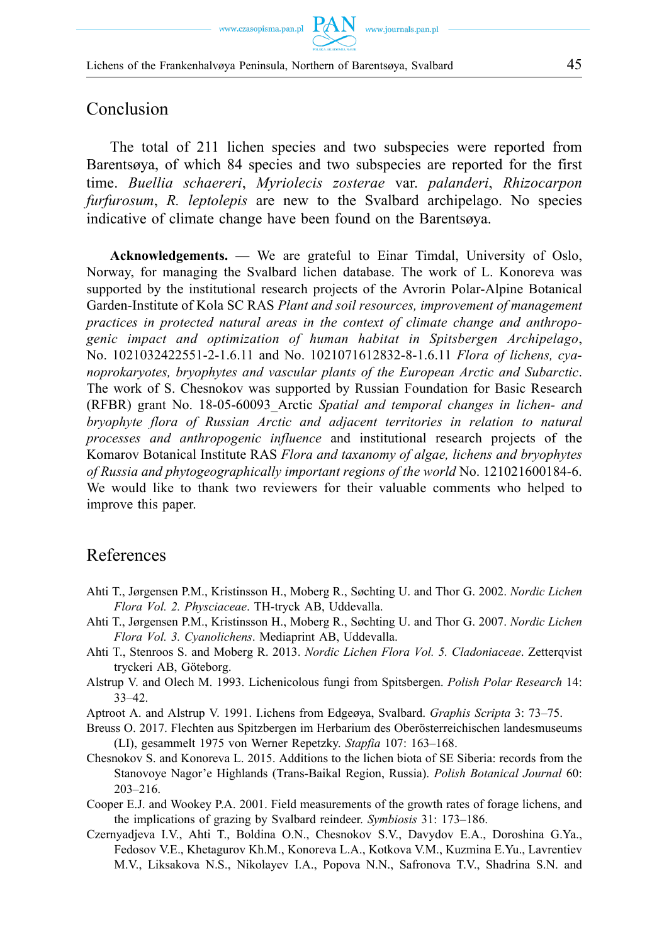### Conclusion

The total of 211 lichen species and two subspecies were reported from Barentsøya, of which 84 species and two subspecies are reported for the first time. *Buellia schaereri*, *Myriolecis zosterae* var. *palanderi*, *Rhizocarpon furfurosum*, *R. leptolepis* are new to the Svalbard archipelago. No species indicative of climate change have been found on the Barentsøya.

**Acknowledgements.** — We are grateful to Einar Timdal, University of Oslo, Norway, for managing the Svalbard lichen database. The work of L. Konoreva was supported by the institutional research projects of the Avrorin Polar-Alpine Botanical Garden-Institute of Kola SC RAS *Plant and soil resources, improvement of management practices in protected natural areas in the context of climate change and anthropogenic impact and optimization of human habitat in Spitsbergen Archipelago*, No. 1021032422551-2-1.6.11 and No. 1021071612832-8-1.6.11 *Flora of lichens, cyanoprokaryotes, bryophytes and vascular plants of the European Arctic and Subarctic*. The work of S. Chesnokov was supported by Russian Foundation for Basic Research (RFBR) grant No. 18-05-60093\_Arctic *Spatial and temporal changes in lichen- and bryophyte flora of Russian Arctic and adjacent territories in relation to natural processes and anthropogenic influence* and institutional research projects of the Komarov Botanical Institute RAS *Flora and taxanomy of algae, lichens and bryophytes of Russia and phytogeographically important regions of the world* No. 121021600184-6. We would like to thank two reviewers for their valuable comments who helped to improve this paper.

## References

- Ahti T., Jørgensen P.M., Kristinsson H., Moberg R., Søchting U. and Thor G. 2002. *Nordic Lichen Flora Vol. 2. Physciaceae*. TH-tryck AB, Uddevalla.
- Ahti T., Jørgensen P.M., Kristinsson H., Moberg R., Søchting U. and Thor G. 2007. *Nordic Lichen Flora Vol. 3. Cyanolichens*. Mediaprint AB, Uddevalla.
- Ahti T., Stenroos S. and Moberg R. 2013. *Nordic Lichen Flora Vol. 5. Cladoniaceae*. Zetterqvist tryckeri AB, Göteborg.
- Alstrup V. and Olech M. 1993. Lichenicolous fungi from Spitsbergen. *Polish Polar Research* 14: 33–42.
- Aptroot A. and Alstrup V. 1991. I.ichens from Edgeøya, Svalbard. *Graphis Scripta* 3: 73–75.
- Breuss O. 2017. Flechten aus Spitzbergen im Herbarium des Oberösterreichischen landesmuseums (LI), gesammelt 1975 von Werner Repetzky. *Stapfia* 107: 163–168.
- Chesnokov S. and Konoreva L. 2015. Additions to the lichen biota of SE Siberia: records from the Stanovoye Nagor'e Highlands (Trans-Baikal Region, Russia). *Polish Botanical Journal* 60: 203–216.
- Cooper E.J. and Wookey P.A. 2001. Field measurements of the growth rates of forage lichens, and the implications of grazing by Svalbard reindeer. *Symbiosis* 31: 173–186.
- Czernyadjeva I.V., Ahti T., Boldina O.N., Chesnokov S.V., Davydov E.A., Doroshina G.Ya., Fedosov V.E., Khetagurov Kh.М., Konoreva L.A., Kotkova V.M., Kuzmina E.Yu., Lavrentiev M.V., Liksakova N.S., Nikolayev I.А., Popova N.N., Safronova T.V., Shadrina S.N. and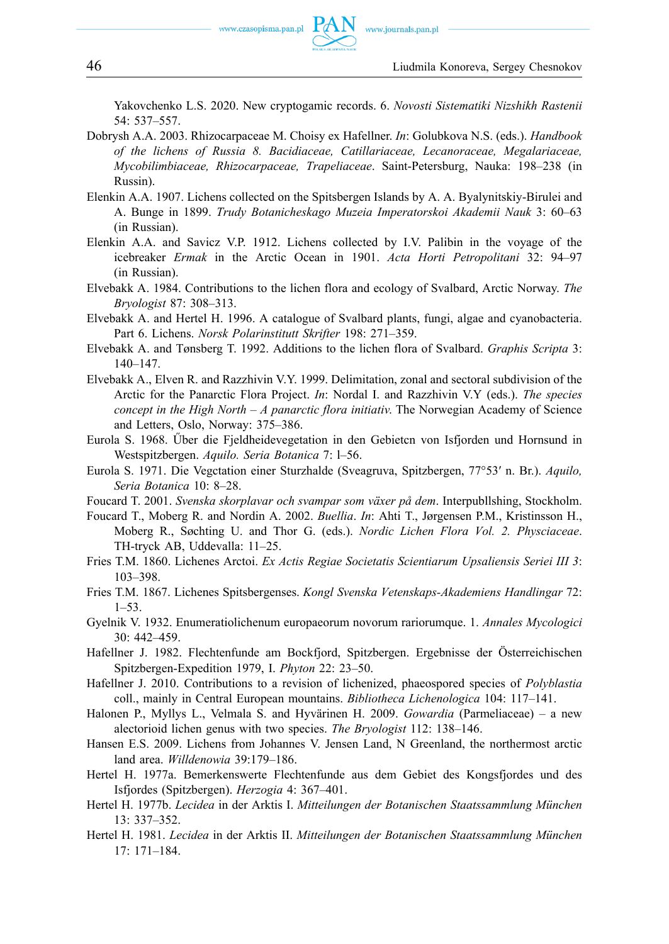Yakovchenko L.S. 2020. New cryptogamic records. 6. *Novosti Sistematiki Nizshikh Rastenii*  54: 537–557.

- Dobrysh A.A. 2003. Rhizocarpaceae М. Choisy ех Hafellner. *In*: Golubkova N.S. (eds.). *Handbook of the lichens of Russia 8. Bacidiaceae, Саtillariaceae, Lecanoraceae, Megalariaceae, Mycobilimbiaceae, Rhizocarpaceae, Trapeliaceae*. Saint-Petersburg, Nauka: 198–238 (in Russin).
- Elenkin A.A. 1907. Lichens collected on the Spitsbergen Islands by A. A. Byalynitskiy-Birulei and A. Bunge in 1899. *Trudy Botanicheskago Muzeia Imperatorskoi Akademii Nauk* 3: 60–63 (in Russian).
- Elenkin A.A. and Savicz V.P. 1912. Lichens collected by I.V. Palibin in the voyage of the icebreaker *Ermak* in the Arctic Ocean in 1901. *Acta Horti Petropolitani* 32: 94–97 (in Russian).
- Elvebakk A. 1984. Contributions to the lichen flora and ecology of Svalbard, Arctic Norway. *The Bryologist* 87: 308–313.
- Elvebakk A. and Hertel H. 1996. A catalogue of Svalbard plants, fungi, algae and cyanobacteria. Part 6. Lichens. *Norsk Polarinstitutt Skrifter* 198: 271–359.
- Elvebakk A. and Tønsberg T. 1992. Additions to the lichen flora of Svalbard. *Graphis Scripta* 3: 140–147.
- Elvebakk A., Elven R. and Razzhivin V.Y. 1999. Delimitation, zonal and sectoral subdivision of the Arctic for the Panarctic Flora Project. *In*: Nordal I. and Razzhivin V.Y (eds.). *The species concept in the High North – A panarctic flora initiativ*. The Norwegian Academy of Science and Letters, Oslo, Norway: 375–386.
- Eurola S. 1968. Űber die Fjeldheidevegetation in den Gebietcn von Isfjorden und Hornsund in Westspitzbergen. *Aquilo. Seria Botanica* 7: l–56.
- Eurola S. 1971. Die Vegctation einer Sturzhalde (Sveagruva, Spitzbergen, 77°53′ n. Br.). *Aquilo, Seria Botanica* 10: 8–28.
- Foucard T. 2001. *Svenska skorplavar och svampar som växer på dem*. Interpubllshing, Stockholm.
- Foucard T., Moberg R. and Nordin A. 2002. *Buellia*. *In*: Ahti T., Jørgensen P.M., Kristinsson H., Moberg R., Søchting U. and Thor G. (eds.). *Nordic Lichen Flora Vol. 2. Physciaceae*. TH-tryck AB, Uddevalla: 11–25.
- Fries T.M. 1860. Lichenes Arctoi. *Ex Actis Regiae Societatis Scientiarum Upsaliensis Seriei III 3*: 103–398.
- Fries T.M. 1867. Lichenes Spitsbergenses. *Kongl Svenska Vetenskaps-Akademiens Handlingar* 72: 1–53.
- Gyelnik V. 1932. Enumeratiolichenum europaeorum novorum rariorumque. 1. *Annales Mycologici*  30: 442–459.
- Hafellner J. 1982. Flechtenfunde am Bockfjord, Spitzbergen. Ergebnisse der Österreichischen Spitzbergen-Expedition 1979, I. *Phyton* 22: 23–50.
- Hafellner J. 2010. Contributions to a revision of lichenized, phaeospored species of *Polyblastia*  coll., mainly in Central European mountains. *Bibliotheca Lichenologica* 104: 117–141.
- Halonen P., Myllys L., Velmala S. and Hyvärinen H. 2009. *Gowardia* (Parmeliaceae) a new alectorioid lichen genus with two species. *The Bryologist* 112: 138–146.
- Hansen E.S. 2009. Lichens from Johannes V. Jensen Land, N Greenland, the northermost arctic land area. *Willdenowia* 39:179–186.
- Hertel H. 1977a. Bemerkenswerte Flechtenfunde aus dem Gebiet des Kongsfjordes und des Isfjordes (Spitzbergen). *Herzogia* 4: 367–401.
- Hertel H. 1977b. *Lecidea* in der Arktis I. *Mitteilungen der Botanischen Staatssammlung München*  13: 337–352.
- Hertel H. 1981. *Lecidea* in der Arktis II. *Mitteilungen der Botanischen Staatssammlung München*  17: 171–184.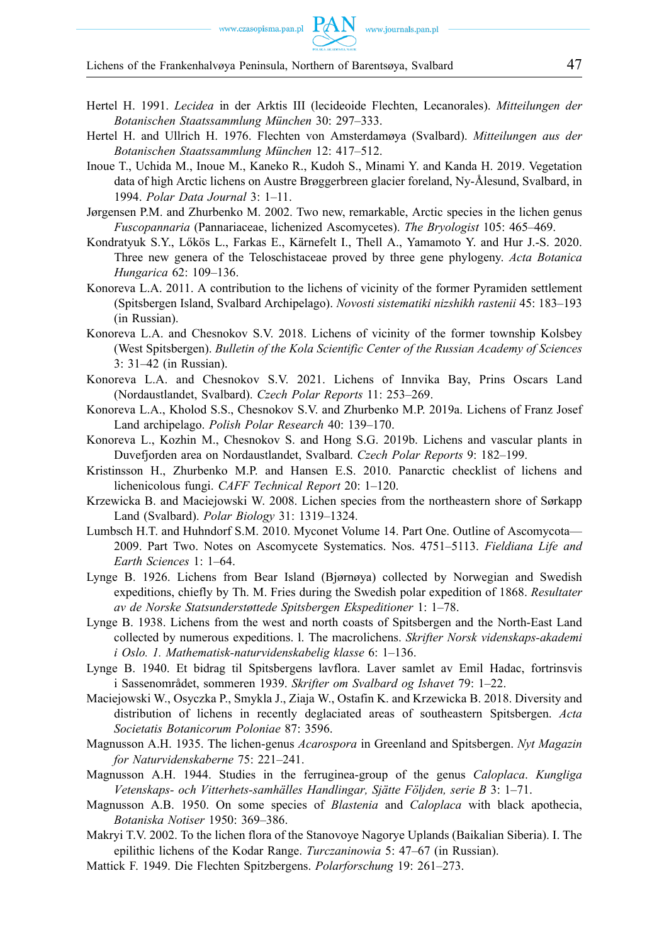- Hertel H. 1991. *Lecidea* in der Arktis III (lecideoide Flechten, Lecanorales). *Mitteilungen der Botanischen Staatssammlung München* 30: 297–333.
- Hertel H. and Ullrich H. 1976. Flechten von Amsterdamøya (Svalbard). *Mitteilungen aus der Botanischen Staatssammlung München* 12: 417–512.
- Inoue T., Uchida M., Inoue M., Kaneko R., Kudoh S., Minami Y. and Kanda H. 2019. Vegetation data of high Arctic lichens on Austre Brøggerbreen glacier foreland, Ny-Ålesund, Svalbard, in 1994. *Polar Data Journal* 3: 1–11.
- Jørgensen P.M. and Zhurbenko M. 2002. Two new, remarkable, Arctic species in the lichen genus *Fuscopannaria* (Pannariaceae, lichenized Ascomycetes). *The Bryologist* 105: 465–469.
- Kondratyuk S.Y., Lőkös L., Farkas E., Kärnefelt I., Thell A., Yamamoto Y. and Hur J.-S. 2020. Three new genera of the Teloschistaceae proved by three gene phylogeny. *Acta Botanica Hungarica* 62: 109–136.
- Konoreva L.A. 2011. A contribution to the lichens of vicinity of the former Pyramiden settlement (Spitsbergen Island, Svalbard Archipelago). *Novosti sistematiki nizshikh rastenii* 45: 183–193 (in Russian).
- Konoreva L.A. and Chesnokov S.V. 2018. Lichens of vicinity of the former township Kolsbey (West Spitsbergen). *Bulletin of the Kola Scientific Center of the Russian Academy of Sciences*  3: 31–42 (in Russian).
- Konoreva L.A. and Chesnokov S.V. 2021. Lichens of Innvika Bay, Prins Oscars Land (Nordaustlandet, Svalbard). *Czech Polar Reports* 11: 253–269.
- Konoreva L.A., Kholod S.S., Chesnokov S.V. and Zhurbenko M.P. 2019a. Lichens of Franz Josef Land archipelago. *Polish Polar Research* 40: 139–170.
- Konoreva L., Kozhin M., Chesnokov S. and Hong S.G. 2019b. Lichens and vascular plants in Duvefjorden area on Nordaustlandet, Svalbard. *Czech Polar Reports* 9: 182–199.
- Kristinsson H., Zhurbenko M.P. and Hansen E.S. 2010. Panarctic checklist of lichens and lichenicolous fungi. *CAFF Technical Report* 20: 1–120.
- Krzewicka B. and Maciejowski W. 2008. Lichen species from the northeastern shore of Sørkapp Land (Svalbard). *Polar Biology* 31: 1319–1324.
- Lumbsch H.T. and Huhndorf S.M. 2010. Myconet Volume 14. Part One. Outline of Ascomycota— 2009. Part Two. Notes on Ascomycete Systematics. Nos. 4751–5113. *Fieldiana Life and Earth Sciences* 1: 1–64.
- Lynge B. 1926. Lichens from Bear Island (Bjørnøya) collected by Norwegian and Swedish expeditions, chiefly by Th. M. Fries during the Swedish polar expedition of 1868. *Resultater av de Norske Statsunderstøttede Spitsbergen Ekspeditioner* 1: 1–78.
- Lynge B. 1938. Lichens from the west and north coasts of Spitsbergen and the North-East Land collected by numerous expeditions. l. The macrolichens. *Skrifter Norsk videnskaps-akademi i Oslo. 1. Mathematisk-naturvidenskabelig klasse* 6: 1–136.
- Lynge B. 1940. Et bidrag til Spitsbergens lavflora. Laver samlet av Emil Hadac, fortrinsvis i Sassenområdet, sommeren 1939. *Skrifter om Svalbard og Ishavet* 79: 1–22.
- Maciejowski W., Osyczka P., Smykla J., Ziaja W., Ostafin K. and Krzewicka B. 2018. Diversity and distribution of lichens in recently deglaciated areas of southeastern Spitsbergen. *Acta Societatis Botanicorum Poloniae* 87: 3596.
- Magnusson A.H. 1935. The lichen-genus *Acarospora* in Greenland and Spitsbergen. *Nyt Magazin for Naturvidenskaberne* 75: 221–241.
- Magnusson A.H. 1944. Studies in the ferruginea-group of the genus *Caloplaca*. *Kungliga Vetenskaps- och Vitterhets-samhälles Handlingar, Sjätte Följden, serie B* 3: 1–71.
- Magnusson A.B. 1950. On some species of *Blastenia* and *Caloplaca* with black apothecia, *Botaniska Notiser* 1950: 369–386.
- Makryi T.V. 2002. To the lichen flora of the Stanovoye Nagorye Uplands (Baikalian Siberia). I. The epilithic lichens of the Kodar Range. *Turczaninowia* 5: 47–67 (in Russian).
- Mattick F. 1949. Die Flechten Spitzbergens. *Polarforschung* 19: 261–273.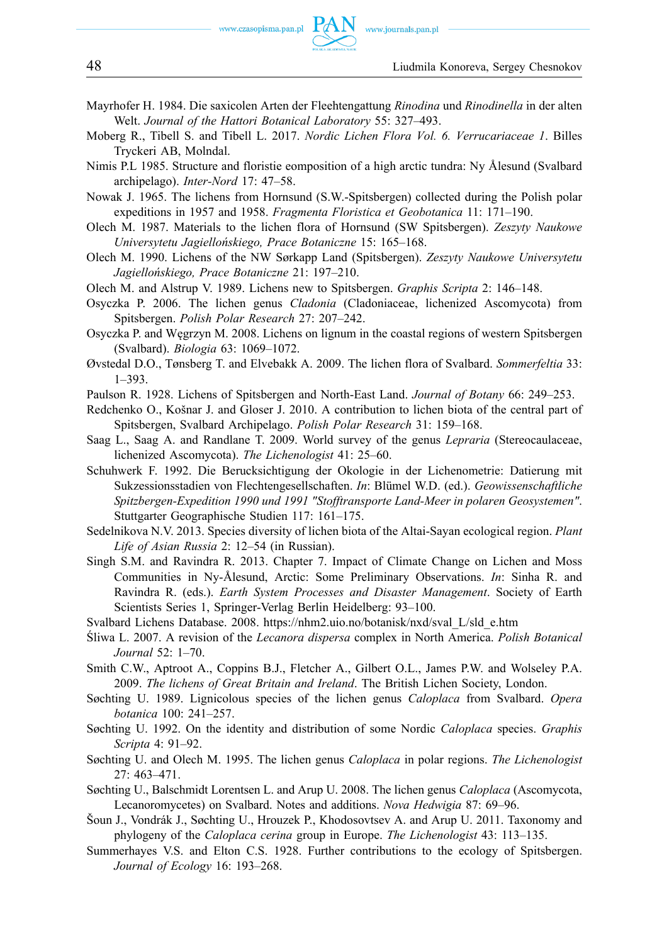- Mayrhofer H. 1984. Die saxicolen Arten der Fleehtengattung *Rinodina* und *Rinodinella* in der alten Welt. *Journal of the Hattori Botanical Laboratory* 55: 327–493.
- Moberg R., Tibell S. and Tibell L. 2017. *Nordic Lichen Flora Vol. 6. Verrucariaceae 1*. Billes Tryckeri AB, Molndal.
- Nimis P.L 1985. Structure and floristie eomposition of a high arctic tundra: Ny Ålesund (Svalbard archipelago). *Inter-Nord* 17: 47–58.
- Nowak J. 1965. The lichens from Hornsund (S.W.-Spitsbergen) collected during the Polish polar expeditions in 1957 and 1958. *Fragmenta Floristica et Geobotanica* 11: 171–190.
- Olech M. 1987. Materials to the lichen flora of Hornsund (SW Spitsbergen). *Zeszyty Naukowe Universytetu Jagiellońskiego, Prace Botaniczne* 15: 165–168.
- Olech M. 1990. Lichens of the NW Sørkapp Land (Spitsbergen). *Zeszyty Naukowe Universytetu Jagiellońskiego, Prace Botaniczne* 21: 197–210.
- Olech M. and Alstrup V. 1989. Lichens new to Spitsbergen. *Graphis Scripta* 2: 146–148.
- Osyczka P. 2006. The lichen genus *Cladonia* (Cladoniaceae, lichenized Ascomycota) from Spitsbergen. *Polish Polar Research* 27: 207–242.
- Osyczka P. and Węgrzyn M. 2008. Lichens on lignum in the coastal regions of western Spitsbergen (Svalbard). *Biologia* 63: 1069–1072.
- Øvstedal D.O., Tønsberg T. and Elvebakk A. 2009. The lichen flora of Svalbard. *Sommerfeltia* 33: 1–393.
- Paulson R. 1928. Lichens of Spitsbergen and North-East Land. *Journal of Botany* 66: 249–253.
- Redchenko O., Košnar J. and Gloser J. 2010. A contribution to lichen biota of the central part of Spitsbergen, Svalbard Archipelago. *Polish Polar Research* 31: 159–168.
- Saag L., Saag A. and Randlane T. 2009. World survey of the genus *Lepraria* (Stereocaulaceae, lichenized Ascomycota). *The Lichenologist* 41: 25–60.
- Schuhwerk F. 1992. Die Berucksichtigung der Okologie in der Lichenometrie: Datierung mit Sukzessionsstadien von Flechtengesellschaften. *In*: Blümel W.D. (ed.). *Geowissenschaftliche Spitzbergen-Expedition 1990 und 1991 "Stofftransporte Land-Meer in polaren Geosystemen"*. Stuttgarter Geographische Studien 117: 161–175.
- Sedelnikova N.V. 2013. Species diversity of lichen biota of the Altai-Sayan ecological region. *Plant Life of Asian Russia* 2: 12–54 (in Russian).
- Singh S.M. and Ravindra R. 2013. Chapter 7. Impact of Climate Change on Lichen and Moss Communities in Ny-Ålesund, Arctic: Some Preliminary Observations. *In*: Sinha R. and Ravindra R. (eds.). *Earth System Processes and Disaster Management*. Society of Earth Scientists Series 1, Springer-Verlag Berlin Heidelberg: 93–100.
- Svalbard Lichens Database. 2008. [https://nhm2.uio.no/botanisk/nxd/sval\\_L/sld\\_e.htm](https://nhm2.uio.no/botanisk/nxd/sval_L/sld_e.htm)
- Śliwa L. 2007. A revision of the *Lecanora dispersa* complex in North America. *Polish Botanical Journal* 52: 1–70.
- Smith C.W., Aptroot A., Coppins B.J., Fletcher A., Gilbert O.L., James P.W. and Wolseley P.A. 2009. *The lichens of Great Britain and Ireland*. The British Lichen Society, London.
- Søchting U. 1989. Lignicolous species of the lichen genus *Caloplaca* from Svalbard. *Opera botanica* 100: 241–257.
- Søchting U. 1992. On the identity and distribution of some Nordic *Caloplaca* species. *Graphis Scripta* 4: 91–92.
- Søchting U. and Olech M. 1995. The lichen genus *Caloplaca* in polar regions. *The Lichenologist*  27: 463–471.
- Søchting U., Balschmidt Lorentsen L. and Arup U. 2008. The lichen genus *Caloplaca* (Ascomycota, Lecanoromycetes) on Svalbard. Notes and additions. *Nova Hedwigia* 87: 69–96.
- Šoun J., Vondrák J., Søchting U., Hrouzek P., Khodosovtsev A. and Arup U. 2011. Taxonomy and phylogeny of the *Caloplaca cerina* group in Europe. *The Lichenologist* 43: 113–135.
- Summerhayes V.S. and Elton C.S. 1928. Further contributions to the ecology of Spitsbergen. *Journal of Ecology* 16: 193–268.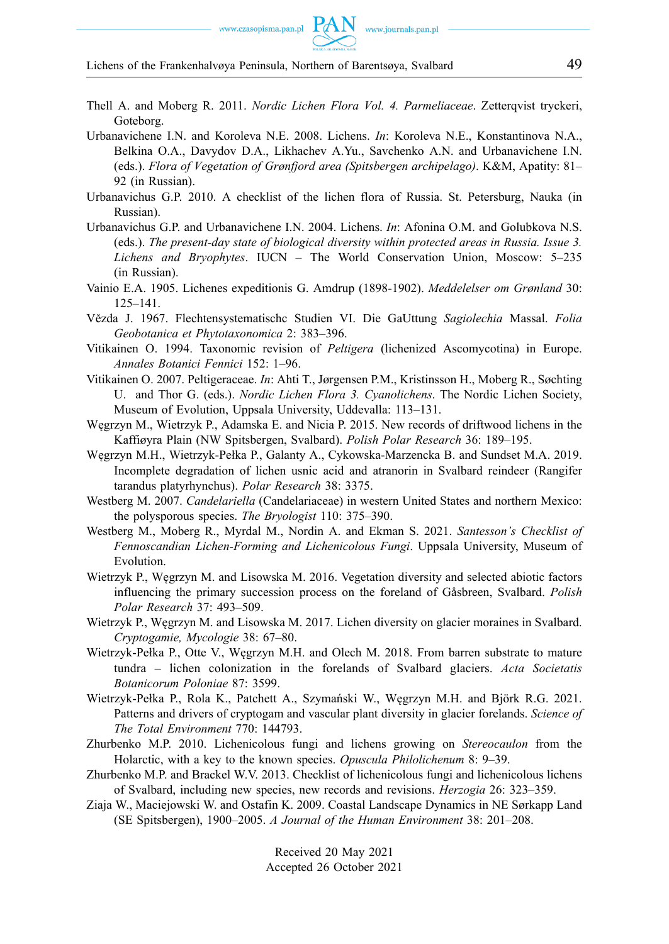Lichens of the Frankenhalvøya Peninsula, Northern of Barentsøya, Svalbard 49

- Thell A. and Moberg R. 2011. *Nordic Lichen Flora Vol. 4. Parmeliaceae*. Zetterqvist tryckeri, Goteborg.
- Urbanavichene I.N. and Koroleva N.E. 2008. Lichens. *In*: Koroleva N.E., Konstantinova N.A., Belkina O.A., Davydov D.A., Likhachev A.Yu., Savchenko A.N. and Urbanavichene I.N. (eds.). *Flora of Vegetation of Grønfjord area (Spitsbergen archipelago)*. K&M, Apatity: 81– 92 (in Russian).
- Urbanavichus G.P. 2010. A checklist of the lichen flora of Russia. St. Petersburg, Nauka (in Russian).
- Urbanavichus G.P. and Urbanavichene I.N. 2004. Lichens. *In*: Afonina O.M. and Golubkova N.S. (eds.). *The present-day state of biological diversity within protected areas in Russia. Issue 3. Lichens and Bryophytes*. IUCN – The World Conservation Union, Moscow: 5–235 (in Russian).
- Vainio E.A. 1905. Lichenes expeditionis G. Amdrup (1898-1902). *Meddelelser om Grønland* 30: 125–141.
- Vězda J. 1967. Flechtensystematischc Studien VI. Die GaUttung *Sagiolechia* Massal. *Folia Geobotanica et Phytotaxonomica* 2: 383–396.
- Vitikainen O. 1994. Taxonomic revision of *Peltigera* (lichenized Ascomycotina) in Europe. *Annales Botanici Fennici* 152: 1–96.
- Vitikainen O. 2007. Peltigeraceae. *In*: Ahti T., Jørgensen P.M., Kristinsson H., Moberg R., Søchting U. and Thor G. (eds.). *Nordic Lichen Flora 3. Cyanolichens*. The Nordic Lichen Society, Museum of Evolution, Uppsala University, Uddevalla: 113–131.
- Węgrzyn M., Wietrzyk P., Adamska E. and Nicia P. 2015. New records of driftwood lichens in the Kaffiøyra Plain (NW Spitsbergen, Svalbard). *Polish Polar Research* 36: 189–195.
- Węgrzyn M.H., Wietrzyk-Pełka P., Galanty A., Cykowska-Marzencka B. and Sundset M.A. 2019. Incomplete degradation of lichen usnic acid and atranorin in Svalbard reindeer (Rangifer tarandus platyrhynchus). *Polar Research* 38: 3375.
- Westberg M. 2007. *Candelariella* (Candelariaceae) in western United States and northern Mexico: the polysporous species. *The Bryologist* 110: 375–390.
- Westberg M., Moberg R., Myrdal M., Nordin A. and Ekman S. 2021. *Santesson's Checklist of Fennoscandian Lichen-Forming and Lichenicolous Fungi*. Uppsala University, Museum of Evolution.
- Wietrzyk P., Węgrzyn M. and Lisowska M. 2016. Vegetation diversity and selected abiotic factors influencing the primary succession process on the foreland of Gåsbreen, Svalbard. *Polish Polar Research* 37: 493–509.
- Wietrzyk P., Węgrzyn M. and Lisowska M. 2017. Lichen diversity on glacier moraines in Svalbard. *Cryptogamie, Mycologie* 38: 67–80.
- Wietrzyk-Pełka P., Otte V., Węgrzyn M.H. and Olech M. 2018. From barren substrate to mature tundra – lichen colonization in the forelands of Svalbard glaciers. *Acta Societatis Botanicorum Poloniae* 87: 3599.
- Wietrzyk-Pełka P., Rola K., Patchett A., Szymański W., Węgrzyn M.H. and Björk R.G. 2021. Patterns and drivers of cryptogam and vascular plant diversity in glacier forelands. *Science of The Total Environment* 770: 144793.
- Zhurbenko M.P. 2010. Lichenicolous fungi and lichens growing on *Stereocaulon* from the Holarctic, with a key to the known species. *Opuscula Philolichenum* 8: 9–39.
- Zhurbenko M.P. and Brackel W.V. 2013. Checklist of lichenicolous fungi and lichenicolous lichens of Svalbard, including new species, new records and revisions. *Herzogia* 26: 323–359.
- Ziaja W., Maciejowski W. and Ostafin K. 2009. Coastal Landscape Dynamics in NE Sørkapp Land (SE Spitsbergen), 1900–2005. *A Journal of the Human Environment* 38: 201–208.

Received 20 May 2021 Accepted 26 October 2021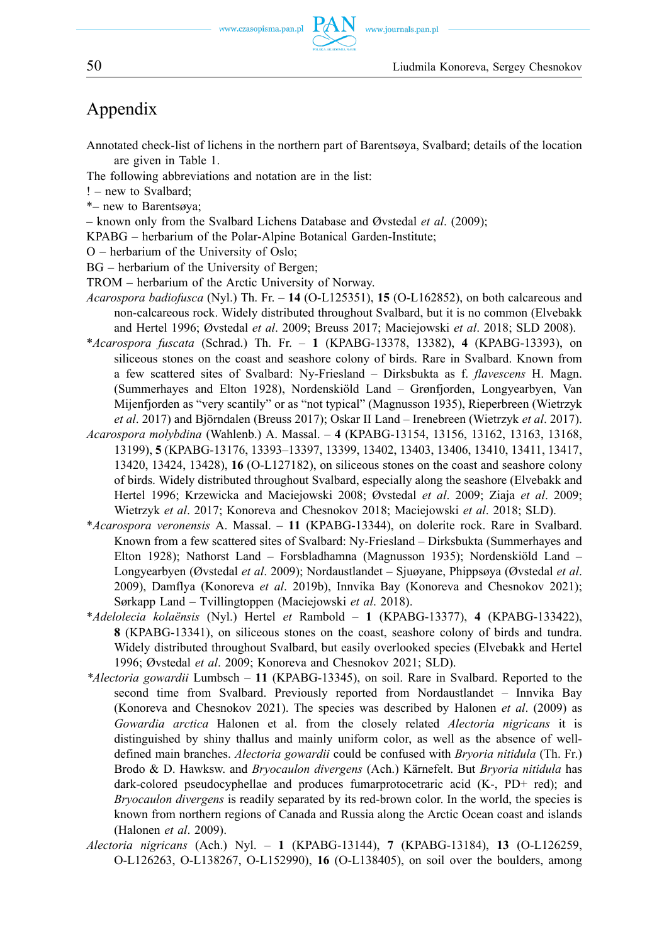www.journals.pan.pl

## Appendix

- Annotated check-list of lichens in the northern part of Barentsøya, Svalbard; details of the location are given in Table 1.
- The following abbreviations and notation are in the list:
- ! new to Svalbard;
- \*– new to Barentsøya;
- known only from the Svalbard Lichens Database and Øvstedal *et al*. (2009);
- KPABG herbarium of the Polar-Alpine Botanical Garden-Institute;
- O herbarium of the University of Oslo;
- BG herbarium of the University of Bergen;
- TROM herbarium of the Arctic University of Norway.
- *Acarospora badiofusca* (Nyl.) Th. Fr. **14** (O-L125351), **15** (O-L162852), on both calcareous and non-calcareous rock. Widely distributed throughout Svalbard, but it is no common (Elvebakk and Hertel 1996; Øvstedal *et al*. 2009; Breuss 2017; Maciejowski *et al*. 2018; SLD 2008).
- \**Acarospora fuscata* (Schrad.) Th. Fr. **1** (KPABG-13378, 13382), **4** (KPABG-13393), on siliceous stones on the coast and seashore colony of birds. Rare in Svalbard. Known from a few scattered sites of Svalbard: Ny-Friesland – Dirksbukta as f. *flavescens* H. Magn. (Summerhayes and Elton 1928), Nordenskiöld Land – Grønfjorden, Longyearbyen, Van Mijenfjorden as "very scantily" or as "not typical" (Magnusson 1935), Rieperbreen (Wietrzyk *et al*. 2017) and Björndalen (Breuss 2017); Oskar II Land – Irenebreen (Wietrzyk *et al*. 2017).
- *Acarospora molybdina* (Wahlenb.) A. Massal. **4** (KPABG-13154, 13156, 13162, 13163, 13168, 13199), **5** (KPABG-13176, 13393–13397, 13399, 13402, 13403, 13406, 13410, 13411, 13417, 13420, 13424, 13428), **16** (O-L127182), on siliceous stones on the coast and seashore colony of birds. Widely distributed throughout Svalbard, especially along the seashore (Elvebakk and Hertel 1996; Krzewicka and Maciejowski 2008; Øvstedal *et al*. 2009; Ziaja *et al*. 2009; Wietrzyk *et al*. 2017; Konoreva and Chesnokov 2018; Maciejowski *et al*. 2018; SLD).
- \**Acarospora veronensis* A. Massal. **11** (KPABG-13344), on dolerite rock. Rare in Svalbard. Known from a few scattered sites of Svalbard: Ny-Friesland – Dirksbukta (Summerhayes and Elton 1928); Nathorst Land – Forsbladhamna (Magnusson 1935); Nordenskiöld Land – Longyearbyen (Øvstedal *et al*. 2009); Nordaustlandet – Sjuøyane, Phippsøya (Øvstedal *et al*. 2009), Damflya (Konoreva *et al*. 2019b), Innvika Bay (Konoreva and Chesnokov 2021); Sørkapp Land – Tvillingtoppen (Maciejowski *et al*. 2018).
- \**Adelolecia kolaënsis* (Nyl.) Hertel *et* Rambold **1** (KPABG-13377), **4** (KPABG-133422), **8** (KPABG-13341), on siliceous stones on the coast, seashore colony of birds and tundra. Widely distributed throughout Svalbard, but easily overlooked species (Elvebakk and Hertel 1996; Øvstedal *et al*. 2009; Konoreva and Chesnokov 2021; SLD).
- *\*Alectoria gowardii* Lumbsch **11** (KPABG-13345), on soil. Rare in Svalbard. Reported to the second time from Svalbard. Previously reported from Nordaustlandet – Innvika Bay (Konoreva and Chesnokov 2021). The species was described by Halonen *et al*. (2009) as *Gowardia arctica* Halonen et al. from the closely related *Alectoria nigricans* it is distinguished by shiny thallus and mainly uniform color, as well as the absence of welldefined main branches. *Alectoria gowardii* could be confused with *Bryoria nitidula* (Th. Fr.) Brodo & D. Hawksw. and *Bryocaulon divergens* (Ach.) Kärnefelt. But *Bryoria nitidula* has dark-colored pseudocyphellae and produces fumarprotocetraric acid (K-, PD+ red); and *Bryocaulon divergens* is readily separated by its red-brown color. In the world, the species is known from northern regions of Canada and Russia along the Arctic Ocean coast and islands (Halonen *et al*. 2009).
- *Alectoria nigricans* (Ach.) Nyl. **1** (KPABG-13144), **7** (KPABG-13184), **13** (O-L126259, O-L126263, O-L138267, O-L152990), **16** (O-L138405), on soil over the boulders, among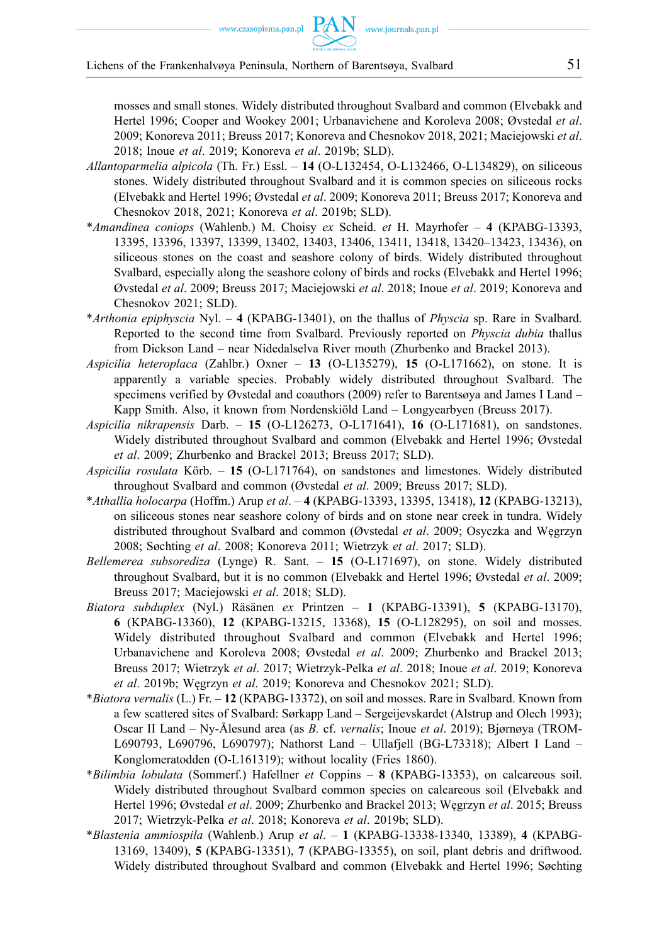mosses and small stones. Widely distributed throughout Svalbard and common (Elvebakk and Hertel 1996; Cooper and Wookey 2001; Urbanavichene and Koroleva 2008; Øvstedal *et al*. 2009; Konoreva 2011; Breuss 2017; Konoreva and Chesnokov 2018, 2021; Maciejowski *et al*. 2018; Inoue *et al*. 2019; Konoreva *et al*. 2019b; SLD).

- *Allantoparmelia alpicola* (Th. Fr.) Essl. **14** (O-L132454, O-L132466, O-L134829), on siliceous stones. Widely distributed throughout Svalbard and it is common species on siliceous rocks (Elvebakk and Hertel 1996; Øvstedal *et al*. 2009; Konoreva 2011; Breuss 2017; Konoreva and Chesnokov 2018, 2021; Konoreva *et al*. 2019b; SLD).
- \**Amandinea coniops* (Wahlenb.) M. Choisy *ex* Scheid. *et* H. Mayrhofer **4** (KPABG-13393, 13395, 13396, 13397, 13399, 13402, 13403, 13406, 13411, 13418, 13420–13423, 13436), on siliceous stones on the coast and seashore colony of birds. Widely distributed throughout Svalbard, especially along the seashore colony of birds and rocks (Elvebakk and Hertel 1996; Øvstedal *et al*. 2009; Breuss 2017; Maciejowski *et al*. 2018; Inoue *et al*. 2019; Konoreva and Chesnokov 2021; SLD).
- \**Arthonia epiphyscia* Nyl. **4** (KPABG-13401), on the thallus of *Physcia* sp. Rare in Svalbard. Reported to the second time from Svalbard. Previously reported on *Physcia dubia* thallus from Dickson Land – near Nidedalselva River mouth (Zhurbenko and Brackel 2013).
- *Aspicilia heteroplaca* (Zahlbr.) Oxner **13** (O-L135279), **15** (O-L171662), on stone. It is apparently a variable species. Probably widely distributed throughout Svalbard. The specimens verified by Øvstedal and coauthors (2009) refer to Barentsøya and James I Land – Kapp Smith. Also, it known from Nordenskiöld Land – Longyearbyen (Breuss 2017).
- *Aspicilia nikrapensis* Darb. **15** (O-L126273, O-L171641), **16** (O-L171681), on sandstones. Widely distributed throughout Svalbard and common (Elvebakk and Hertel 1996; Øvstedal *et al*. 2009; Zhurbenko and Brackel 2013; Breuss 2017; SLD).
- *Aspicilia rosulata* Körb. **15** (O-L171764), on sandstones and limestones. Widely distributed throughout Svalbard and common (Øvstedal *et al*. 2009; Breuss 2017; SLD).
- \**Athallia holocarpa* (Hoffm.) Arup *et al*. **4** (KPABG-13393, 13395, 13418), **12** (KPABG-13213), on siliceous stones near seashore colony of birds and on stone near creek in tundra. Widely distributed throughout Svalbard and common (Øvstedal *et al*. 2009; Osyczka and Węgrzyn 2008; Søchting *et al*. 2008; Konoreva 2011; Wietrzyk *et al*. 2017; SLD).
- *Bellemerea subsorediza* (Lynge) R. Sant. **15** (O-L171697), on stone. Widely distributed throughout Svalbard, but it is no common (Elvebakk and Hertel 1996; Øvstedal *et al*. 2009; Breuss 2017; Maciejowski *et al*. 2018; SLD).
- *Biatora subduplex* (Nyl.) Räsänen *ex* Printzen **1** (KPABG-13391), **5** (KPABG-13170), **6** (KPABG-13360), **12** (KPABG-13215, 13368), **15** (O-L128295), on soil and mosses. Widely distributed throughout Svalbard and common (Elvebakk and Hertel 1996; Urbanavichene and Koroleva 2008; Øvstedal *et al*. 2009; Zhurbenko and Brackel 2013; Breuss 2017; Wietrzyk *et al*. 2017; Wietrzyk-Pelka *et al*. 2018; Inoue *et al*. 2019; Konoreva *et al*. 2019b; Węgrzyn *et al*. 2019; Konoreva and Chesnokov 2021; SLD).
- \**Biatora vernalis* (L.) Fr. **12** (KPABG-13372), on soil and mosses. Rare in Svalbard. Known from a few scattered sites of Svalbard: Sørkapp Land – Sergeijevskardet (Alstrup and Olech 1993); Oscar II Land – Ny-Ålesund area (as *B.* cf. *vernalis*; Inoue *et al*. 2019); Bjørnøya (TROM-L690793, L690796, L690797); Nathorst Land – Ullafjell (BG-L73318); Albert I Land – Konglomeratodden (O-L161319); without locality (Fries 1860).
- \**Bilimbia lobulata* (Sommerf.) Hafellner *et* Coppins **8** (KPABG-13353), on calcareous soil. Widely distributed throughout Svalbard common species on calcareous soil (Elvebakk and Hertel 1996; Øvstedal *et al*. 2009; Zhurbenko and Brackel 2013; Węgrzyn *et al*. 2015; Breuss 2017; Wietrzyk-Pelka *et al*. 2018; Konoreva *et al*. 2019b; SLD).
- \**Blastenia ammiospila* (Wahlenb.) Arup *et al*. **1** (KPABG-13338-13340, 13389), **4** (KPABG-13169, 13409), **5** (KPABG-13351), **7** (KPABG-13355), on soil, plant debris and driftwood. Widely distributed throughout Svalbard and common (Elvebakk and Hertel 1996; Søchting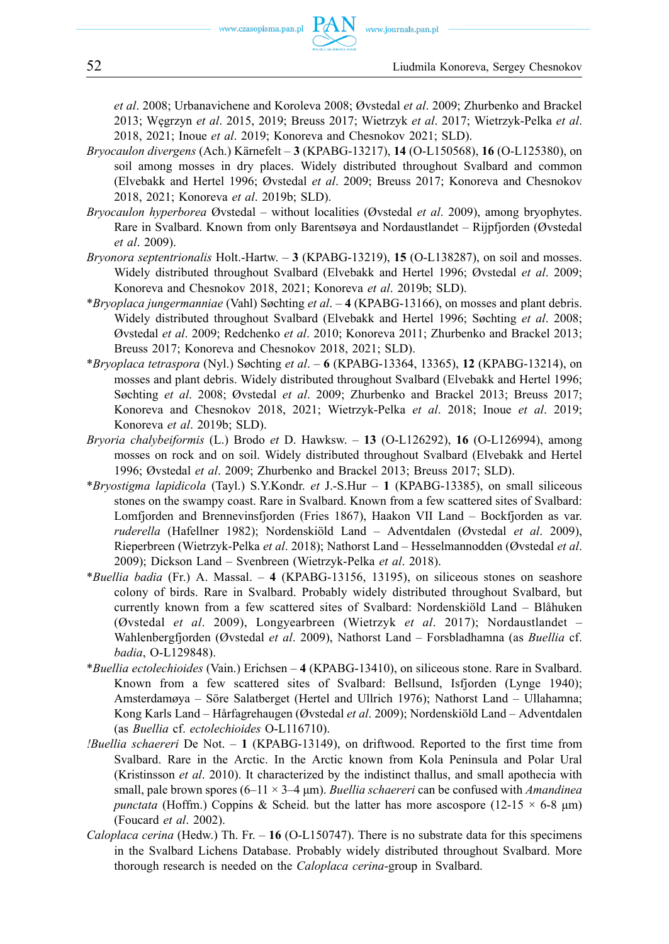*et al*. 2008; Urbanavichene and Koroleva 2008; Øvstedal *et al*. 2009; Zhurbenko and Brackel 2013; Węgrzyn *et al*. 2015, 2019; Breuss 2017; Wietrzyk *et al*. 2017; Wietrzyk-Pelka *et al*. 2018, 2021; Inoue *et al*. 2019; Konoreva and Chesnokov 2021; SLD).

- *Bryocaulon divergens* (Ach.) Kärnefelt **3** (KPABG-13217), **14** (O-L150568), **16** (O-L125380), on soil among mosses in dry places. Widely distributed throughout Svalbard and common (Elvebakk and Hertel 1996; Øvstedal *et al*. 2009; Breuss 2017; Konoreva and Chesnokov 2018, 2021; Konoreva *et al*. 2019b; SLD).
- *Bryocaulon hyperborea* Øvstedal without localities (Øvstedal *et al*. 2009), among bryophytes. Rare in Svalbard. Known from only Barentsøya and Nordaustlandet – Rijpfjorden (Øvstedal *et al*. 2009).
- *Bryonora septentrionalis* Holt.-Hartw. **3** (KPABG-13219), **15** (O-L138287), on soil and mosses. Widely distributed throughout Svalbard (Elvebakk and Hertel 1996; Øvstedal *et al*. 2009; Konoreva and Chesnokov 2018, 2021; Konoreva *et al*. 2019b; SLD).
- \**Bryoplaca jungermanniae* (Vahl) Søchting *et al*. **4** (KPABG-13166), on mosses and plant debris. Widely distributed throughout Svalbard (Elvebakk and Hertel 1996; Søchting *et al*. 2008; Øvstedal *et al*. 2009; Redchenko *et al*. 2010; Konoreva 2011; Zhurbenko and Brackel 2013; Breuss 2017; Konoreva and Chesnokov 2018, 2021; SLD).
- \**Bryoplaca tetraspora* (Nyl.) Søchting *et al*. **6** (KPABG-13364, 13365), **12** (KPABG-13214), on mosses and plant debris. Widely distributed throughout Svalbard (Elvebakk and Hertel 1996; Søchting *et al*. 2008; Øvstedal *et al*. 2009; Zhurbenko and Brackel 2013; Breuss 2017; Konoreva and Chesnokov 2018, 2021; Wietrzyk-Pelka *et al*. 2018; Inoue *et al*. 2019; Konoreva *et al*. 2019b; SLD).
- *Bryoria chalybeiformis* (L.) Brodo *et* D. Hawksw. **13** (O-L126292), **16** (O-L126994), among mosses on rock and on soil. Widely distributed throughout Svalbard (Elvebakk and Hertel 1996; Øvstedal *et al*. 2009; Zhurbenko and Brackel 2013; Breuss 2017; SLD).
- \**Bryostigma lapidicola* (Tayl.) S.Y.Kondr. *et* J.-S.Hur **1** (KPABG-13385), on small siliceous stones on the swampy coast. Rare in Svalbard. Known from a few scattered sites of Svalbard: Lomfjorden and Brennevinsfjorden (Fries 1867), Haakon VII Land – Bockfjorden as var. *ruderella* (Hafellner 1982); Nordenskiöld Land – Adventdalen (Øvstedal *et al*. 2009), Rieperbreen (Wietrzyk-Pelka *et al*. 2018); Nathorst Land – Hesselmannodden (Øvstedal *et al*. 2009); Dickson Land – Svenbreen (Wietrzyk-Pelka *et al*. 2018).
- \**Buellia badia* (Fr.) A. Massal. **4** (KPABG-13156, 13195), on siliceous stones on seashore colony of birds. Rare in Svalbard. Probably widely distributed throughout Svalbard, but currently known from a few scattered sites of Svalbard: Nordenskiöld Land – Blåhuken (Øvstedal *et al*. 2009), Longyearbreen (Wietrzyk *et al*. 2017); Nordaustlandet – Wahlenbergfjorden (Øvstedal *et al*. 2009), Nathorst Land – Forsbladhamna (as *Buellia* cf. *badia*, O-L129848).
- \**Buellia ectolechioides* (Vain.) Erichsen **4** (KPABG-13410), on siliceous stone. Rare in Svalbard. Known from a few scattered sites of Svalbard: Bellsund, Isfjorden (Lynge 1940); Amsterdamøya – Söre Salatberget (Hertel and Ullrich 1976); Nathorst Land – Ullahamna; Kong Karls Land – Hårfagrehaugen (Øvstedal *et al*. 2009); Nordenskiöld Land – Adventdalen (as *Buellia* cf. *ectolechioides* O-L116710).
- *!Buellia schaereri* De Not. **1** (KPABG-13149), on driftwood. Reported to the first time from Svalbard. Rare in the Arctic. In the Arctic known from Kola Peninsula and Polar Ural (Kristinsson *et al*. 2010). It characterized by the indistinct thallus, and small apothecia with small, pale brown spores (6–11 × 3–4 μm). *Buellia schaereri* can be confused with *Amandinea punctata* (Hoffm.) Coppins & Scheid. but the latter has more ascospore (12-15  $\times$  6-8  $\mu$ m) (Foucard *et al*. 2002).
- *Caloplaca cerina* (Hedw.) Th. Fr. **16** (O-L150747). There is no substrate data for this specimens in the Svalbard Lichens Database. Probably widely distributed throughout Svalbard. More thorough research is needed on the *Caloplaca cerina*-group in Svalbard.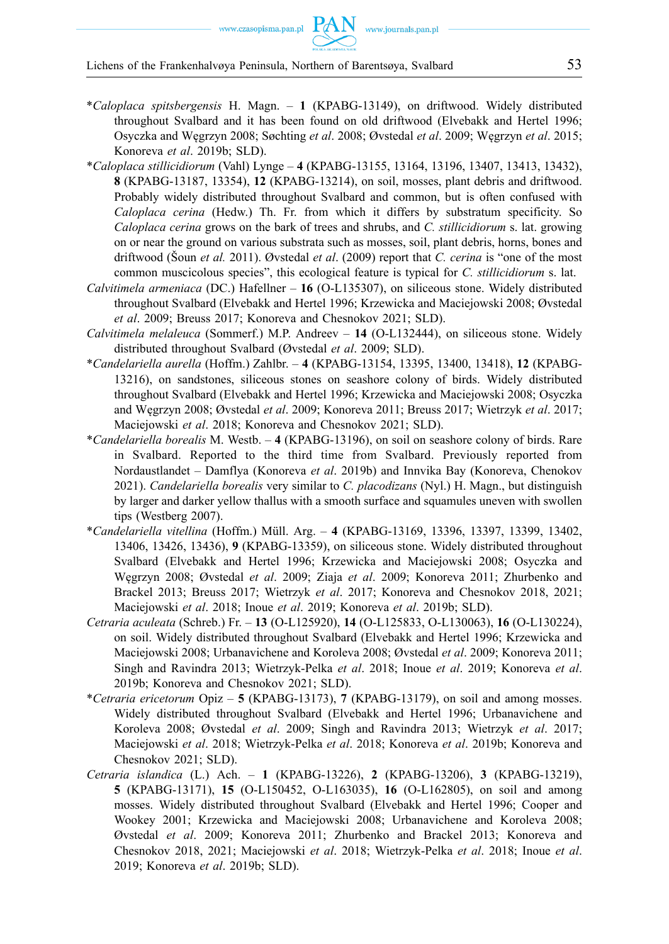- \**Caloplaca spitsbergensis* H. Magn. **1** (KPABG-13149), on driftwood. Widely distributed throughout Svalbard and it has been found on old driftwood (Elvebakk and Hertel 1996; Osyczka and Węgrzyn 2008; Søchting *et al*. 2008; Øvstedal *et al*. 2009; Węgrzyn *et al*. 2015; Konoreva *et al*. 2019b; SLD).
- \**Caloplaca stillicidiorum* (Vahl) Lynge **4** (KPABG-13155, 13164, 13196, 13407, 13413, 13432), **8** (KPABG-13187, 13354), **12** (KPABG-13214), on soil, mosses, plant debris and driftwood. Probably widely distributed throughout Svalbard and common, but is often confused with *Caloplaca cerina* (Hedw.) Th. Fr. from which it differs by substratum specificity. So *Caloplaca cerina* grows on the bark of trees and shrubs, and *C. stillicidiorum* s. lat. growing on or near the ground on various substrata such as mosses, soil, plant debris, horns, bones and driftwood (Šoun *et al.* 2011). Øvstedal *et al*. (2009) report that *C. cerina* is "one of the most common muscicolous species", this ecological feature is typical for *C. stillicidiorum* s. lat.
- *Calvitimela armeniaca* (DC.) Hafellner **16** (O-L135307), on siliceous stone. Widely distributed throughout Svalbard (Elvebakk and Hertel 1996; Krzewicka and Maciejowski 2008; Øvstedal *et al*. 2009; Breuss 2017; Konoreva and Chesnokov 2021; SLD).
- *Calvitimela melaleuca* (Sommerf.) M.P. Andreev **14** (O-L132444), on siliceous stone. Widely distributed throughout Svalbard (Øvstedal *et al*. 2009; SLD).
- \**Candelariella aurella* (Hoffm.) Zahlbr. **4** (KPABG-13154, 13395, 13400, 13418), **12** (KPABG-13216), on sandstones, siliceous stones on seashore colony of birds. Widely distributed throughout Svalbard (Elvebakk and Hertel 1996; Krzewicka and Maciejowski 2008; Osyczka and Węgrzyn 2008; Øvstedal *et al*. 2009; Konoreva 2011; Breuss 2017; Wietrzyk *et al*. 2017; Maciejowski *et al*. 2018; Konoreva and Chesnokov 2021; SLD).
- \**Candelariella borealis* M. Westb. **4** (KPABG-13196), on soil on seashore colony of birds. Rare in Svalbard. Reported to the third time from Svalbard. Previously reported from Nordaustlandet – Damflya (Konoreva *et al*. 2019b) and Innvika Bay (Konoreva, Chenokov 2021). *Candelariella borealis* very similar to *C. placodizans* (Nyl.) H. Magn., but distinguish by larger and darker yellow thallus with a smooth surface and squamules uneven with swollen tips (Westberg 2007).
- \**Candelariella vitellina* (Hoffm.) Müll. Arg. **4** (KPABG-13169, 13396, 13397, 13399, 13402, 13406, 13426, 13436), **9** (KPABG-13359), on siliceous stone. Widely distributed throughout Svalbard (Elvebakk and Hertel 1996; Krzewicka and Maciejowski 2008; Osyczka and Węgrzyn 2008; Øvstedal *et al*. 2009; Ziaja *et al*. 2009; Konoreva 2011; Zhurbenko and Brackel 2013; Breuss 2017; Wietrzyk *et al*. 2017; Konoreva and Chesnokov 2018, 2021; Maciejowski *et al*. 2018; Inoue *et al*. 2019; Konoreva *et al*. 2019b; SLD).
- *Cetraria aculeata* (Schreb.) Fr. **13** (O-L125920), **14** (O-L125833, O-L130063), **16** (O-L130224), on soil. Widely distributed throughout Svalbard (Elvebakk and Hertel 1996; Krzewicka and Maciejowski 2008; Urbanavichene and Koroleva 2008; Øvstedal *et al*. 2009; Konoreva 2011; Singh and Ravindra 2013; Wietrzyk-Pelka *et al*. 2018; Inoue *et al*. 2019; Konoreva *et al*. 2019b; Konoreva and Chesnokov 2021; SLD).
- \**Cetraria ericetorum* Opiz **5** (KPABG-13173), **7** (KPABG-13179), on soil and among mosses. Widely distributed throughout Svalbard (Elvebakk and Hertel 1996; Urbanavichene and Koroleva 2008; Øvstedal *et al*. 2009; Singh and Ravindra 2013; Wietrzyk *et al*. 2017; Maciejowski *et al*. 2018; Wietrzyk-Pelka *et al*. 2018; Konoreva *et al*. 2019b; Konoreva and Chesnokov 2021; SLD).
- *Cetraria islandica* (L.) Ach. **1** (KPABG-13226), **2** (KPABG-13206), **3** (KPABG-13219), **5** (KPABG-13171), **15** (O-L150452, O-L163035), **16** (O-L162805), on soil and among mosses. Widely distributed throughout Svalbard (Elvebakk and Hertel 1996; Cooper and Wookey 2001; Krzewicka and Maciejowski 2008; Urbanavichene and Koroleva 2008; Øvstedal *et al*. 2009; Konoreva 2011; Zhurbenko and Brackel 2013; Konoreva and Chesnokov 2018, 2021; Maciejowski *et al*. 2018; Wietrzyk-Pelka *et al*. 2018; Inoue *et al*. 2019; Konoreva *et al*. 2019b; SLD).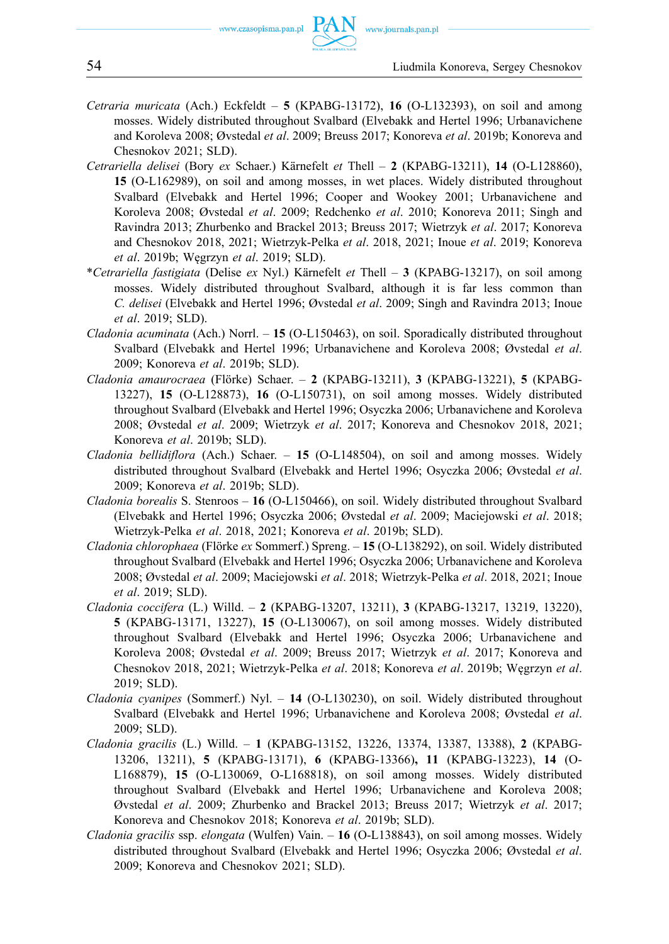- *Cetraria muricata* (Ach.) Eckfeldt **5** (KPABG-13172), **16** (O-L132393), on soil and among mosses. Widely distributed throughout Svalbard (Elvebakk and Hertel 1996; Urbanavichene and Koroleva 2008; Øvstedal *et al*. 2009; Breuss 2017; Konoreva *et al*. 2019b; Konoreva and Chesnokov 2021; SLD).
- *Cetrariella delisei* (Bory *ex* Schaer.) Kärnefelt *et* Thell **2** (KPABG-13211), **14** (O-L128860), **15** (O-L162989), on soil and among mosses, in wet places. Widely distributed throughout Svalbard (Elvebakk and Hertel 1996; Cooper and Wookey 2001; Urbanavichene and Koroleva 2008; Øvstedal *et al*. 2009; Redchenko *et al*. 2010; Konoreva 2011; Singh and Ravindra 2013; Zhurbenko and Brackel 2013; Breuss 2017; Wietrzyk *et al*. 2017; Konoreva and Chesnokov 2018, 2021; Wietrzyk-Pelka *et al*. 2018, 2021; Inoue *et al*. 2019; Konoreva *et al*. 2019b; Węgrzyn *et al*. 2019; SLD).
- \**Cetrariella fastigiata* (Delise *ex* Nyl.) Kärnefelt *et* Thell **3** (KPABG-13217), on soil among mosses. Widely distributed throughout Svalbard, although it is far less common than *C. delisei* (Elvebakk and Hertel 1996; Øvstedal *et al*. 2009; Singh and Ravindra 2013; Inoue *et al*. 2019; SLD).
- *Cladonia acuminata* (Ach.) Norrl. **15** (O-L150463), on soil. Sporadically distributed throughout Svalbard (Elvebakk and Hertel 1996; Urbanavichene and Koroleva 2008; Øvstedal *et al*. 2009; Konoreva *et al*. 2019b; SLD).
- *Cladonia amaurocraea* (Flörke) Schaer. **2** (KPABG-13211), **3** (KPABG-13221), **5** (KPABG-13227), **15** (O-L128873), **16** (O-L150731), on soil among mosses. Widely distributed throughout Svalbard (Elvebakk and Hertel 1996; Osyczka 2006; Urbanavichene and Koroleva 2008; Øvstedal *et al*. 2009; Wietrzyk *et al*. 2017; Konoreva and Chesnokov 2018, 2021; Konoreva *et al*. 2019b; SLD).
- *Cladonia bellidiflora* (Ach.) Schaer. **15** (O-L148504), on soil and among mosses. Widely distributed throughout Svalbard (Elvebakk and Hertel 1996; Osyczka 2006; Øvstedal *et al*. 2009; Konoreva *et al*. 2019b; SLD).
- *Cladonia borealis* S. Stenroos **16** (O-L150466), on soil. Widely distributed throughout Svalbard (Elvebakk and Hertel 1996; Osyczka 2006; Øvstedal *et al*. 2009; Maciejowski *et al*. 2018; Wietrzyk-Pelka *et al*. 2018, 2021; Konoreva *et al*. 2019b; SLD).
- *Cladonia chlorophaea* (Flörke *ex* Sommerf.) Spreng. **15** (O-L138292), on soil. Widely distributed throughout Svalbard (Elvebakk and Hertel 1996; Osyczka 2006; Urbanavichene and Koroleva 2008; Øvstedal *et al*. 2009; Maciejowski *et al*. 2018; Wietrzyk-Pelka *et al*. 2018, 2021; Inoue *et al*. 2019; SLD).
- *Cladonia coccifera* (L.) Willd. **2** (KPABG-13207, 13211), **3** (KPABG-13217, 13219, 13220), **5** (KPABG-13171, 13227), **15** (O-L130067), on soil among mosses. Widely distributed throughout Svalbard (Elvebakk and Hertel 1996; Osyczka 2006; Urbanavichene and Koroleva 2008; Øvstedal *et al*. 2009; Breuss 2017; Wietrzyk *et al*. 2017; Konoreva and Chesnokov 2018, 2021; Wietrzyk-Pelka *et al*. 2018; Konoreva *et al*. 2019b; Węgrzyn *et al*. 2019; SLD).
- *Cladonia cyanipes* (Sommerf.) Nyl. **14** (O-L130230), on soil. Widely distributed throughout Svalbard (Elvebakk and Hertel 1996; Urbanavichene and Koroleva 2008; Øvstedal *et al*. 2009; SLD).
- *Cladonia gracilis* (L.) Willd. **1** (KPABG-13152, 13226, 13374, 13387, 13388), **2** (KPABG-13206, 13211), **5** (KPABG-13171), **6** (KPABG-13366)**, 11** (KPABG-13223), **14** (O-L168879), **15** (O-L130069, O-L168818), on soil among mosses. Widely distributed throughout Svalbard (Elvebakk and Hertel 1996; Urbanavichene and Koroleva 2008; Øvstedal *et al*. 2009; Zhurbenko and Brackel 2013; Breuss 2017; Wietrzyk *et al*. 2017; Konoreva and Chesnokov 2018; Konoreva *et al*. 2019b; SLD).
- *Cladonia gracilis* ssp. *elongata* (Wulfen) Vain. **16** (O-L138843), on soil among mosses. Widely distributed throughout Svalbard (Elvebakk and Hertel 1996; Osyczka 2006; Øvstedal *et al*. 2009; Konoreva and Chesnokov 2021; SLD).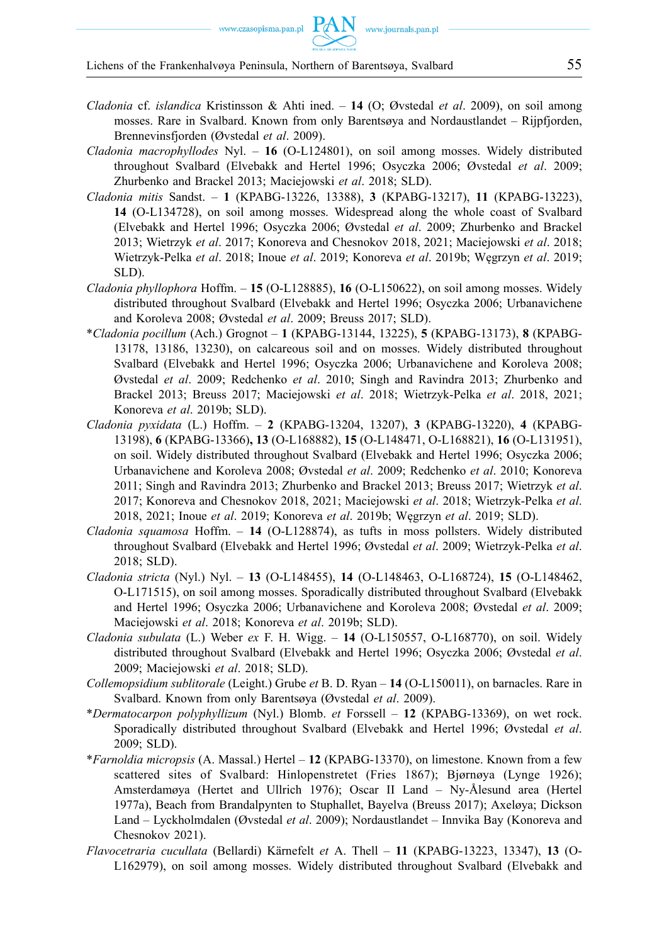- *Cladonia* cf. *islandica* Kristinsson & Ahti ined. **14** (O; Øvstedal *et al*. 2009), on soil among mosses. Rare in Svalbard. Known from only Barentsøya and Nordaustlandet – Rijpfjorden, Brennevinsfjorden (Øvstedal *et al*. 2009).
- *Cladonia macrophyllodes* Nyl. **16** (O-L124801), on soil among mosses. Widely distributed throughout Svalbard (Elvebakk and Hertel 1996; Osyczka 2006; Øvstedal *et al*. 2009; Zhurbenko and Brackel 2013; Maciejowski *et al*. 2018; SLD).
- *Cladonia mitis* Sandst. **1** (KPABG-13226, 13388), **3** (KPABG-13217), **11** (KPABG-13223), **14** (O-L134728), on soil among mosses. Widespread along the whole coast of Svalbard (Elvebakk and Hertel 1996; Osyczka 2006; Øvstedal *et al*. 2009; Zhurbenko and Brackel 2013; Wietrzyk *et al*. 2017; Konoreva and Chesnokov 2018, 2021; Maciejowski *et al*. 2018; Wietrzyk-Pelka *et al*. 2018; Inoue *et al*. 2019; Konoreva *et al*. 2019b; Węgrzyn *et al*. 2019; SLD).
- *Cladonia phyllophora* Hoffm. **15** (O-L128885), **16** (O-L150622), on soil among mosses. Widely distributed throughout Svalbard (Elvebakk and Hertel 1996; Osyczka 2006; Urbanavichene and Koroleva 2008; Øvstedal *et al*. 2009; Breuss 2017; SLD).
- \**Cladonia pocillum* (Ach.) Grognot **1** (KPABG-13144, 13225), **5** (KPABG-13173), **8** (KPABG-13178, 13186, 13230), on calcareous soil and on mosses. Widely distributed throughout Svalbard (Elvebakk and Hertel 1996; Osyczka 2006; Urbanavichene and Koroleva 2008; Øvstedal *et al*. 2009; Redchenko *et al*. 2010; Singh and Ravindra 2013; Zhurbenko and Brackel 2013; Breuss 2017; Maciejowski *et al*. 2018; Wietrzyk-Pelka *et al*. 2018, 2021; Konoreva *et al*. 2019b; SLD).
- *Cladonia pyxidata* (L.) Hoffm. **2** (KPABG-13204, 13207), **3** (KPABG-13220), **4** (KPABG-13198), **6** (KPABG-13366)**, 13** (O-L168882), **15** (O-L148471, O-L168821), **16** (O-L131951), on soil. Widely distributed throughout Svalbard (Elvebakk and Hertel 1996; Osyczka 2006; Urbanavichene and Koroleva 2008; Øvstedal *et al*. 2009; Redchenko *et al*. 2010; Konoreva 2011; Singh and Ravindra 2013; Zhurbenko and Brackel 2013; Breuss 2017; Wietrzyk *et al*. 2017; Konoreva and Chesnokov 2018, 2021; Maciejowski *et al*. 2018; Wietrzyk-Pelka *et al*. 2018, 2021; Inoue *et al*. 2019; Konoreva *et al*. 2019b; Węgrzyn *et al*. 2019; SLD).
- *Cladonia squamosa* Hoffm. **14** (O-L128874), as tufts in moss pollsters. Widely distributed throughout Svalbard (Elvebakk and Hertel 1996; Øvstedal *et al*. 2009; Wietrzyk-Pelka *et al*. 2018; SLD).
- *Cladonia stricta* (Nyl.) Nyl. **13** (O-L148455), **14** (O-L148463, O-L168724), **15** (O-L148462, O-L171515), on soil among mosses. Sporadically distributed throughout Svalbard (Elvebakk and Hertel 1996; Osyczka 2006; Urbanavichene and Koroleva 2008; Øvstedal *et al*. 2009; Maciejowski *et al*. 2018; Konoreva *et al*. 2019b; SLD).
- *Cladonia subulata* (L.) Weber *ex* F. H. Wigg. **14** (O-L150557, O-L168770), on soil. Widely distributed throughout Svalbard (Elvebakk and Hertel 1996; Osyczka 2006; Øvstedal *et al*. 2009; Maciejowski *et al*. 2018; SLD).
- *Collemopsidium sublitorale* (Leight.) Grube *et* B. D. Ryan **14** (O-L150011), on barnacles. Rare in Svalbard. Known from only Barentsøya (Øvstedal *et al*. 2009).
- \**Dermatocarpon polyphyllizum* (Nyl.) Blomb. *et* Forssell **12** (KPABG-13369), on wet rock. Sporadically distributed throughout Svalbard (Elvebakk and Hertel 1996; Øvstedal *et al*. 2009; SLD).
- \**Farnoldia micropsis* (A. Massal.) Hertel **12** (KPABG-13370), on limestone. Known from a few scattered sites of Svalbard: Hinlopenstretet (Fries 1867); Bjørnøya (Lynge 1926); Amsterdamøya (Hertet and Ullrich 1976); Oscar II Land – Ny-Ålesund area (Hertel 1977a), Beach from Brandalpynten to Stuphallet, Bayelva (Breuss 2017); Axeløya; Dickson Land – Lyckholmdalen (Øvstedal *et al*. 2009); Nordaustlandet – Innvika Bay (Konoreva and Chesnokov 2021).
- *Flavocetraria cucullata* (Bellardi) Kärnefelt *et* A. Thell **11** (KPABG-13223, 13347), **13** (O-L162979), on soil among mosses. Widely distributed throughout Svalbard (Elvebakk and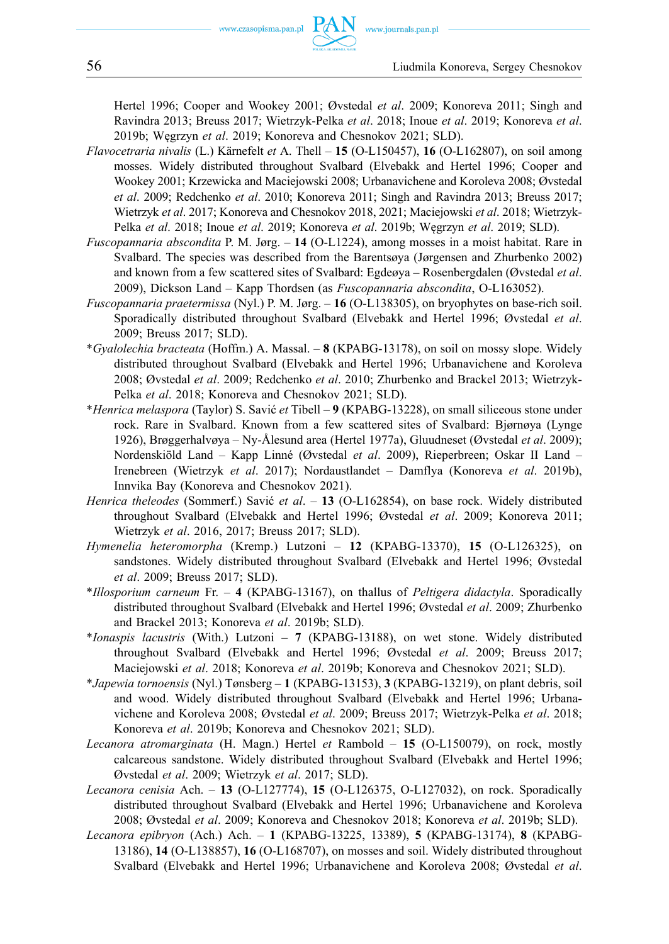Hertel 1996; Cooper and Wookey 2001; Øvstedal *et al*. 2009; Konoreva 2011; Singh and Ravindra 2013; Breuss 2017; Wietrzyk-Pelka *et al*. 2018; Inoue *et al*. 2019; Konoreva *et al*. 2019b; Węgrzyn *et al*. 2019; Konoreva and Chesnokov 2021; SLD).

- *Flavocetraria nivalis* (L.) Kärnefelt *et* A. Thell **15** (O-L150457), **16** (O-L162807), on soil among mosses. Widely distributed throughout Svalbard (Elvebakk and Hertel 1996; Cooper and Wookey 2001; Krzewicka and Maciejowski 2008; Urbanavichene and Koroleva 2008; Øvstedal *et al*. 2009; Redchenko *et al*. 2010; Konoreva 2011; Singh and Ravindra 2013; Breuss 2017; Wietrzyk *et al*. 2017; Konoreva and Chesnokov 2018, 2021; Maciejowski *et al*. 2018; Wietrzyk-Pelka *et al*. 2018; Inoue *et al*. 2019; Konoreva *et al*. 2019b; Węgrzyn *et al*. 2019; SLD).
- *Fuscopannaria abscondita* P. M. Jørg. **14** (O-L1224), among mosses in a moist habitat. Rare in Svalbard. The species was described from the Barentsøya (Jørgensen and Zhurbenko 2002) and known from a few scattered sites of Svalbard: Egdeøya – Rosenbergdalen (Øvstedal *et al*. 2009), Dickson Land – Kapp Thordsen (as *Fuscopannaria abscondita*, O-L163052).
- *Fuscopannaria praetermissa* (Nyl.) P. M. Jørg. **16** (O-L138305), on bryophytes on base-rich soil. Sporadically distributed throughout Svalbard (Elvebakk and Hertel 1996; Øvstedal *et al*. 2009; Breuss 2017; SLD).
- \**Gyalolechia bracteata* (Hoffm.) A. Massal. **8** (KPABG-13178), on soil on mossy slope. Widely distributed throughout Svalbard (Elvebakk and Hertel 1996; Urbanavichene and Koroleva 2008; Øvstedal *et al*. 2009; Redchenko *et al*. 2010; Zhurbenko and Brackel 2013; Wietrzyk-Pelka *et al*. 2018; Konoreva and Chesnokov 2021; SLD).
- \**Henrica melaspora* (Taylor) S. Savić *et* Tibell **9** (KPABG-13228), on small siliceous stone under rock. Rare in Svalbard. Known from a few scattered sites of Svalbard: Bjørnøya (Lynge 1926), Brøggerhalvøya – Ny-Ålesund area (Hertel 1977a), Gluudneset (Øvstedal *et al*. 2009); Nordenskiöld Land – Kapp Linné (Øvstedal *et al*. 2009), Rieperbreen; Oskar II Land – Irenebreen (Wietrzyk *et al*. 2017); Nordaustlandet – Damflya (Konoreva *et al*. 2019b), Innvika Bay (Konoreva and Chesnokov 2021).
- *Henrica theleodes* (Sommerf.) Savić *et al*. **13** (O-L162854), on base rock. Widely distributed throughout Svalbard (Elvebakk and Hertel 1996; Øvstedal *et al*. 2009; Konoreva 2011; Wietrzyk *et al*. 2016, 2017; Breuss 2017; SLD).
- *Hymenelia heteromorpha* (Kremp.) Lutzoni **12** (KPABG-13370), **15** (O-L126325), on sandstones. Widely distributed throughout Svalbard (Elvebakk and Hertel 1996; Øvstedal *et al*. 2009; Breuss 2017; SLD).
- \**Illosporium carneum* Fr. **4** (KPABG-13167), on thallus of *Peltigera didactyla*. Sporadically distributed throughout Svalbard (Elvebakk and Hertel 1996; Øvstedal *et al*. 2009; Zhurbenko and Brackel 2013; Konoreva *et al*. 2019b; SLD).
- \**Ionaspis lacustris* (With.) Lutzoni **7** (KPABG-13188), on wet stone. Widely distributed throughout Svalbard (Elvebakk and Hertel 1996; Øvstedal *et al*. 2009; Breuss 2017; Maciejowski *et al*. 2018; Konoreva *et al*. 2019b; Konoreva and Chesnokov 2021; SLD).
- \**Japewia tornoensis* (Nyl.) Tønsberg **1** (KPABG-13153), **3** (KPABG-13219), on plant debris, soil and wood. Widely distributed throughout Svalbard (Elvebakk and Hertel 1996; Urbanavichene and Koroleva 2008; Øvstedal *et al*. 2009; Breuss 2017; Wietrzyk-Pelka *et al*. 2018; Konoreva *et al*. 2019b; Konoreva and Chesnokov 2021; SLD).
- *Lecanora atromarginata* (H. Magn.) Hertel *et* Rambold **15** (O-L150079), on rock, mostly calcareous sandstone. Widely distributed throughout Svalbard (Elvebakk and Hertel 1996; Øvstedal *et al*. 2009; Wietrzyk *et al*. 2017; SLD).
- *Lecanora cenisia* Ach. **13** (O-L127774), **15** (O-L126375, O-L127032), on rock. Sporadically distributed throughout Svalbard (Elvebakk and Hertel 1996; Urbanavichene and Koroleva 2008; Øvstedal *et al*. 2009; Konoreva and Chesnokov 2018; Konoreva *et al*. 2019b; SLD).
- *Lecanora epibryon* (Ach.) Ach. **1** (KPABG-13225, 13389), **5** (KPABG-13174), **8** (KPABG-13186), **14** (O-L138857), **16** (O-L168707), on mosses and soil. Widely distributed throughout Svalbard (Elvebakk and Hertel 1996; Urbanavichene and Koroleva 2008; Øvstedal *et al*.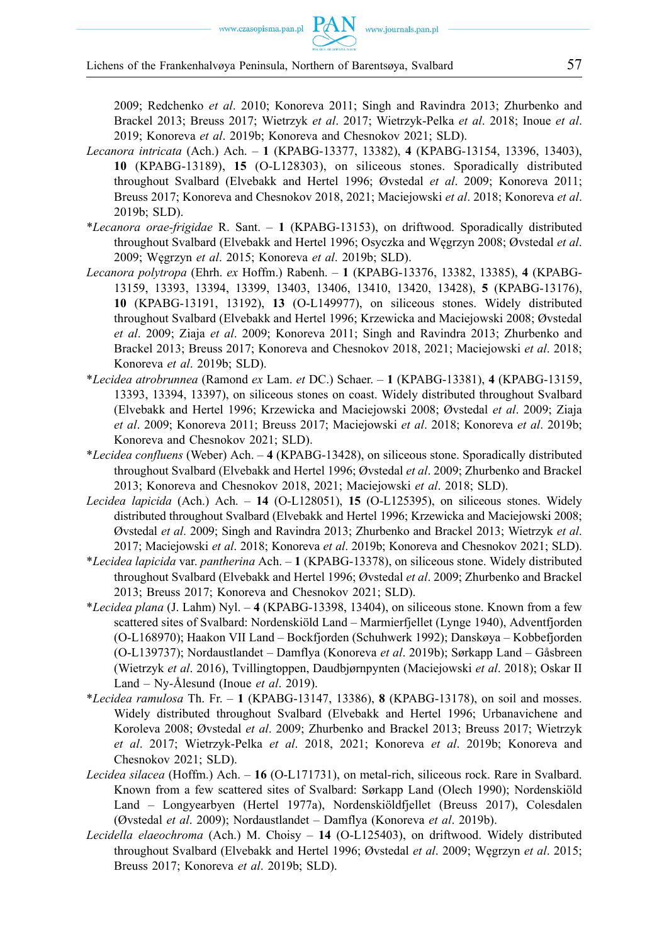2009; Redchenko *et al*. 2010; Konoreva 2011; Singh and Ravindra 2013; Zhurbenko and Brackel 2013; Breuss 2017; Wietrzyk *et al*. 2017; Wietrzyk-Pelka *et al*. 2018; Inoue *et al*. 2019; Konoreva *et al*. 2019b; Konoreva and Chesnokov 2021; SLD).

- *Lecanora intricata* (Ach.) Ach. **1** (KPABG-13377, 13382), **4** (KPABG-13154, 13396, 13403), **10** (KPABG-13189), **15** (O-L128303), on siliceous stones. Sporadically distributed throughout Svalbard (Elvebakk and Hertel 1996; Øvstedal *et al*. 2009; Konoreva 2011; Breuss 2017; Konoreva and Chesnokov 2018, 2021; Maciejowski *et al*. 2018; Konoreva *et al*. 2019b; SLD).
- \**Lecanora orae-frigidae* R. Sant. **1** (KPABG-13153), on driftwood. Sporadically distributed throughout Svalbard (Elvebakk and Hertel 1996; Osyczka and Węgrzyn 2008; Øvstedal *et al*. 2009; Węgrzyn *et al*. 2015; Konoreva *et al*. 2019b; SLD).
- *Lecanora polytropa* (Ehrh. *ex* Hoffm.) Rabenh. **1** (KPABG-13376, 13382, 13385), **4** (KPABG-13159, 13393, 13394, 13399, 13403, 13406, 13410, 13420, 13428), **5** (KPABG-13176), **10** (KPABG-13191, 13192), **13** (O-L149977), on siliceous stones. Widely distributed throughout Svalbard (Elvebakk and Hertel 1996; Krzewicka and Maciejowski 2008; Øvstedal *et al*. 2009; Ziaja *et al*. 2009; Konoreva 2011; Singh and Ravindra 2013; Zhurbenko and Brackel 2013; Breuss 2017; Konoreva and Chesnokov 2018, 2021; Maciejowski *et al*. 2018; Konoreva *et al*. 2019b; SLD).
- \**Lecidea atrobrunnea* (Ramond *ex* Lam. *et* DC.) Schaer. **1** (KPABG-13381), **4** (KPABG-13159, 13393, 13394, 13397), on siliceous stones on coast. Widely distributed throughout Svalbard (Elvebakk and Hertel 1996; Krzewicka and Maciejowski 2008; Øvstedal *et al*. 2009; Ziaja *et al*. 2009; Konoreva 2011; Breuss 2017; Maciejowski *et al*. 2018; Konoreva *et al*. 2019b; Konoreva and Chesnokov 2021; SLD).
- \**Lecidea confluens* (Weber) Ach. **4** (KPABG-13428), on siliceous stone. Sporadically distributed throughout Svalbard (Elvebakk and Hertel 1996; Øvstedal *et al*. 2009; Zhurbenko and Brackel 2013; Konoreva and Chesnokov 2018, 2021; Maciejowski *et al*. 2018; SLD).
- *Lecidea lapicida* (Ach.) Ach. **14** (O-L128051), **15** (O-L125395), on siliceous stones. Widely distributed throughout Svalbard (Elvebakk and Hertel 1996; Krzewicka and Maciejowski 2008; Øvstedal *et al*. 2009; Singh and Ravindra 2013; Zhurbenko and Brackel 2013; Wietrzyk *et al*. 2017; Maciejowski *et al*. 2018; Konoreva *et al*. 2019b; Konoreva and Chesnokov 2021; SLD).
- \**Lecidea lapicida* var. *pantherina* Ach. **1** (KPABG-13378), on siliceous stone. Widely distributed throughout Svalbard (Elvebakk and Hertel 1996; Øvstedal *et al*. 2009; Zhurbenko and Brackel 2013; Breuss 2017; Konoreva and Chesnokov 2021; SLD).
- \**Lecidea plana* (J. Lahm) Nyl. **4** (KPABG-13398, 13404), on siliceous stone. Known from a few scattered sites of Svalbard: Nordenskiöld Land – Marmierfjellet (Lynge 1940), Adventfjorden (O-L168970); Haakon VII Land – Bockfjorden (Schuhwerk 1992); Danskøya – Kobbefjorden (O-L139737); Nordaustlandet – Damflya (Konoreva *et al*. 2019b); Sørkapp Land – Gåsbreen (Wietrzyk *et al*. 2016), Tvillingtoppen, Daudbjørnpynten (Maciejowski *et al*. 2018); Oskar II Land – Ny-Ålesund (Inoue *et al*. 2019).
- \**Lecidea ramulosa* Th. Fr. **1** (KPABG-13147, 13386), **8** (KPABG-13178), on soil and mosses. Widely distributed throughout Svalbard (Elvebakk and Hertel 1996; Urbanavichene and Koroleva 2008; Øvstedal *et al*. 2009; Zhurbenko and Brackel 2013; Breuss 2017; Wietrzyk *et al*. 2017; Wietrzyk-Pelka *et al*. 2018, 2021; Konoreva *et al*. 2019b; Konoreva and Chesnokov 2021; SLD).
- *Lecidea silacea* (Hoffm.) Ach. **16** (O-L171731), on metal-rich, siliceous rock. Rare in Svalbard. Known from a few scattered sites of Svalbard: Sørkapp Land (Olech 1990); Nordenskiöld Land – Longyearbyen (Hertel 1977a), Nordenskiöldfjellet (Breuss 2017), Colesdalen (Øvstedal *et al*. 2009); Nordaustlandet – Damflya (Konoreva *et al*. 2019b).
- *Lecidella elaeochroma* (Ach.) M. Choisy **14** (O-L125403), on driftwood. Widely distributed throughout Svalbard (Elvebakk and Hertel 1996; Øvstedal *et al*. 2009; Węgrzyn *et al*. 2015; Breuss 2017; Konoreva *et al*. 2019b; SLD).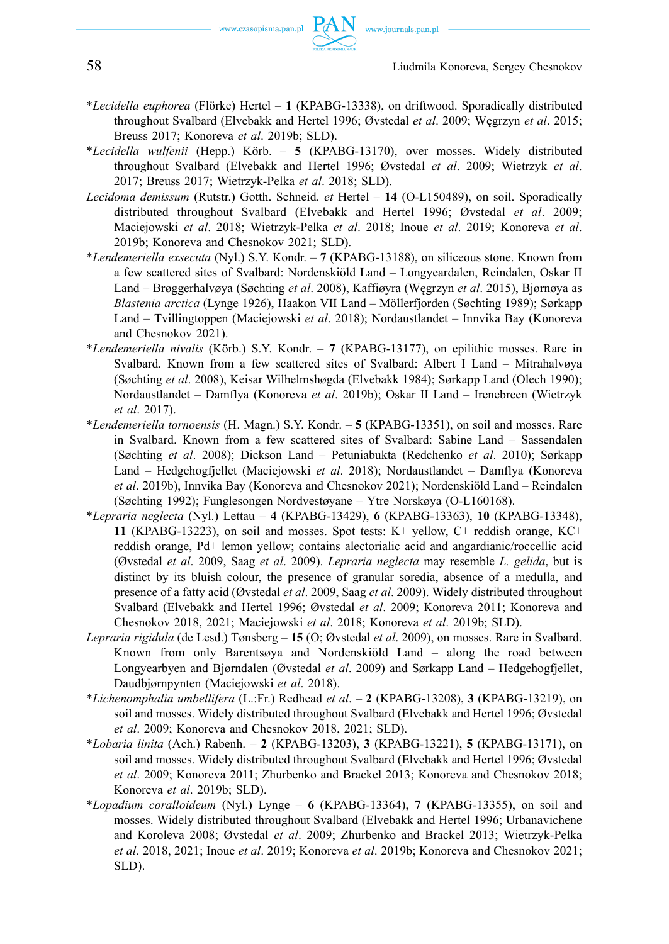- \**Lecidella euphorea* (Flörke) Hertel **1** (KPABG-13338), on driftwood. Sporadically distributed throughout Svalbard (Elvebakk and Hertel 1996; Øvstedal *et al*. 2009; Węgrzyn *et al*. 2015; Breuss 2017; Konoreva *et al*. 2019b; SLD).
- \**Lecidella wulfenii* (Hepp.) Körb. **5** (KPABG-13170), over mosses. Widely distributed throughout Svalbard (Elvebakk and Hertel 1996; Øvstedal *et al*. 2009; Wietrzyk *et al*. 2017; Breuss 2017; Wietrzyk-Pelka *et al*. 2018; SLD).
- *Lecidoma demissum* (Rutstr.) Gotth. Schneid. *et* Hertel **14** (O-L150489), on soil. Sporadically distributed throughout Svalbard (Elvebakk and Hertel 1996; Øvstedal *et al*. 2009; Maciejowski *et al*. 2018; Wietrzyk-Pelka *et al*. 2018; Inoue *et al*. 2019; Konoreva *et al*. 2019b; Konoreva and Chesnokov 2021; SLD).
- \**Lendemeriella exsecuta* (Nyl.) S.Y. Kondr. **7** (KPABG-13188), on siliceous stone. Known from a few scattered sites of Svalbard: Nordenskiöld Land – Longyeardalen, Reindalen, Oskar II Land – Brøggerhalvøya (Søchting *et al*. 2008), Kaffiøyra (Węgrzyn *et al*. 2015), Bjørnøya as *Blastenia arctica* (Lynge 1926), Haakon VII Land – Möllerfjorden (Søchting 1989); Sørkapp Land – Tvillingtoppen (Maciejowski *et al*. 2018); Nordaustlandet – Innvika Bay (Konoreva and Chesnokov 2021).
- \**Lendemeriella nivalis* (Körb.) S.Y. Kondr. **7** (KPABG-13177), on epilithic mosses. Rare in Svalbard. Known from a few scattered sites of Svalbard: Albert I Land – Mitrahalvøya (Søchting *et al*. 2008), Keisar Wilhelmshøgda (Elvebakk 1984); Sørkapp Land (Olech 1990); Nordaustlandet – Damflya (Konoreva *et al*. 2019b); Oskar II Land – Irenebreen (Wietrzyk *et al*. 2017).
- \**Lendemeriella tornoensis* (H. Magn.) S.Y. Kondr. **5** (KPABG-13351), on soil and mosses. Rare in Svalbard. Known from a few scattered sites of Svalbard: Sabine Land – Sassendalen (Søchting *et al*. 2008); Dickson Land – Petuniabukta (Redchenko *et al*. 2010); Sørkapp Land – Hedgehogfjellet (Maciejowski *et al*. 2018); Nordaustlandet – Damflya (Konoreva *et al*. 2019b), Innvika Bay (Konoreva and Chesnokov 2021); Nordenskiöld Land – Reindalen (Søchting 1992); Funglesongen Nordvestøyane – Ytre Norskøya (O-L160168).
- \**Lepraria neglecta* (Nyl.) Lettau **4** (KPABG-13429), **6** (KPABG-13363), **10** (KPABG-13348), **11** (KPABG-13223), on soil and mosses. Spot tests: K+ yellow, C+ reddish orange, KC+ reddish orange, Pd+ lemon yellow; contains alectorialic acid and angardianic/roccellic acid (Øvstedal *et al*. 2009, Saag *et al*. 2009). *Lepraria neglecta* may resemble *L. gelida*, but is distinct by its bluish colour, the presence of granular soredia, absence of a medulla, and presence of a fatty acid (Øvstedal *et al*. 2009, Saag *et al*. 2009). Widely distributed throughout Svalbard (Elvebakk and Hertel 1996; Øvstedal *et al*. 2009; Konoreva 2011; Konoreva and Chesnokov 2018, 2021; Maciejowski *et al*. 2018; Konoreva *et al*. 2019b; SLD).
- *Lepraria rigidula* (de Lesd.) Tønsberg **15** (O; Øvstedal *et al*. 2009), on mosses. Rare in Svalbard. Known from only Barentsøya and Nordenskiöld Land – along the road between Longyearbyen and Bjørndalen (Øvstedal *et al*. 2009) and Sørkapp Land – Hedgehogfjellet, Daudbjørnpynten (Maciejowski *et al*. 2018).
- \**Lichenomphalia umbellifera* (L.:Fr.) Redhead *et al*. **2** (KPABG-13208), **3** (KPABG-13219), on soil and mosses. Widely distributed throughout Svalbard (Elvebakk and Hertel 1996; Øvstedal *et al*. 2009; Konoreva and Chesnokov 2018, 2021; SLD).
- \**Lobaria linita* (Ach.) Rabenh. **2** (KPABG-13203), **3** (KPABG-13221), **5** (KPABG-13171), on soil and mosses. Widely distributed throughout Svalbard (Elvebakk and Hertel 1996; Øvstedal *et al*. 2009; Konoreva 2011; Zhurbenko and Brackel 2013; Konoreva and Chesnokov 2018; Konoreva *et al*. 2019b; SLD).
- \**Lopadium coralloideum* (Nyl.) Lynge **6** (KPABG-13364), **7** (KPABG-13355), on soil and mosses. Widely distributed throughout Svalbard (Elvebakk and Hertel 1996; Urbanavichene and Koroleva 2008; Øvstedal *et al*. 2009; Zhurbenko and Brackel 2013; Wietrzyk-Pelka *et al*. 2018, 2021; Inoue *et al*. 2019; Konoreva *et al*. 2019b; Konoreva and Chesnokov 2021; SLD).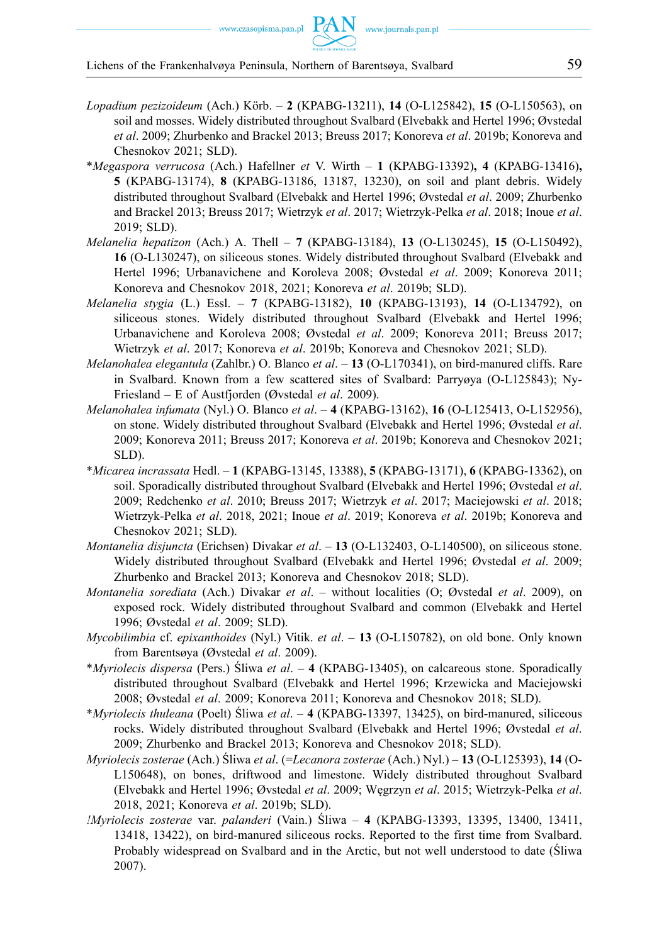- *Lopadium pezizoideum* (Ach.) Körb. **2** (KPABG-13211), **14** (O-L125842), **15** (O-L150563), on soil and mosses. Widely distributed throughout Svalbard (Elvebakk and Hertel 1996; Øvstedal *et al*. 2009; Zhurbenko and Brackel 2013; Breuss 2017; Konoreva *et al*. 2019b; Konoreva and Chesnokov 2021; SLD).
- \**Megaspora verrucosa* (Ach.) Hafellner *et* V. Wirth **1** (KPABG-13392)**, 4** (KPABG-13416)**, 5** (KPABG-13174), **8** (KPABG-13186, 13187, 13230), on soil and plant debris. Widely distributed throughout Svalbard (Elvebakk and Hertel 1996; Øvstedal *et al*. 2009; Zhurbenko and Brackel 2013; Breuss 2017; Wietrzyk *et al*. 2017; Wietrzyk-Pelka *et al*. 2018; Inoue *et al*. 2019; SLD).
- *Melanelia hepatizon* (Ach.) A. Thell **7** (KPABG-13184), **13** (O-L130245), **15** (O-L150492), **16** (O-L130247), on siliceous stones. Widely distributed throughout Svalbard (Elvebakk and Hertel 1996; Urbanavichene and Koroleva 2008; Øvstedal *et al*. 2009; Konoreva 2011; Konoreva and Chesnokov 2018, 2021; Konoreva *et al*. 2019b; SLD).
- *Melanelia stygia* (L.) Essl. **7** (KPABG-13182), **10** (KPABG-13193), **14** (O-L134792), on siliceous stones. Widely distributed throughout Svalbard (Elvebakk and Hertel 1996; Urbanavichene and Koroleva 2008; Øvstedal *et al*. 2009; Konoreva 2011; Breuss 2017; Wietrzyk *et al*. 2017; Konoreva *et al*. 2019b; Konoreva and Chesnokov 2021; SLD).
- *Melanohalea elegantula* (Zahlbr.) O. Blanco *et al*. **13** (O-L170341), on bird-manured cliffs. Rare in Svalbard. Known from a few scattered sites of Svalbard: Parryøya (O-L125843); Ny-Friesland – E of Austfjorden (Øvstedal *et al*. 2009).
- *Melanohalea infumata* (Nyl.) O. Blanco *et al*. **4** (KPABG-13162), **16** (O-L125413, O-L152956), on stone. Widely distributed throughout Svalbard (Elvebakk and Hertel 1996; Øvstedal *et al*. 2009; Konoreva 2011; Breuss 2017; Konoreva *et al*. 2019b; Konoreva and Chesnokov 2021; SLD).
- \**Micarea incrassata* Hedl. **1** (KPABG-13145, 13388), **5** (KPABG-13171), **6** (KPABG-13362), on soil. Sporadically distributed throughout Svalbard (Elvebakk and Hertel 1996; Øvstedal *et al*. 2009; Redchenko *et al*. 2010; Breuss 2017; Wietrzyk *et al*. 2017; Maciejowski *et al*. 2018; Wietrzyk-Pelka *et al*. 2018, 2021; Inoue *et al*. 2019; Konoreva *et al*. 2019b; Konoreva and Chesnokov 2021; SLD).
- *Montanelia disjuncta* (Erichsen) Divakar *et al*. **13** (O-L132403, O-L140500), on siliceous stone. Widely distributed throughout Svalbard (Elvebakk and Hertel 1996; Øvstedal *et al*. 2009; Zhurbenko and Brackel 2013; Konoreva and Chesnokov 2018; SLD).
- *Montanelia sorediata* (Ach.) Divakar *et al*. without localities (O; Øvstedal *et al*. 2009), on exposed rock. Widely distributed throughout Svalbard and common (Elvebakk and Hertel 1996; Øvstedal *et al*. 2009; SLD).
- *Mycobilimbia* cf. *epixanthoides* (Nyl.) Vitik. *et al*. **13** (O-L150782), on old bone. Only known from Barentsøya (Øvstedal *et al*. 2009).
- \**Myriolecis dispersa* (Pers.) Śliwa *et al*. **4** (KPABG-13405), on calcareous stone. Sporadically distributed throughout Svalbard (Elvebakk and Hertel 1996; Krzewicka and Maciejowski 2008; Øvstedal *et al*. 2009; Konoreva 2011; Konoreva and Chesnokov 2018; SLD).
- \**Myriolecis thuleana* (Poelt) Śliwa *et al*. **4** (KPABG-13397, 13425), on bird-manured, siliceous rocks. Widely distributed throughout Svalbard (Elvebakk and Hertel 1996; Øvstedal *et al*. 2009; Zhurbenko and Brackel 2013; Konoreva and Chesnokov 2018; SLD).
- *Myriolecis zosterae* (Ach.) Śliwa *et al*. (=*Lecanora zosterae* (Ach.) Nyl.) **13** (O-L125393), **14** (O-L150648), on bones, driftwood and limestone. Widely distributed throughout Svalbard (Elvebakk and Hertel 1996; Øvstedal *et al*. 2009; Węgrzyn *et al*. 2015; Wietrzyk-Pelka *et al*. 2018, 2021; Konoreva *et al*. 2019b; SLD).
- *!Myriolecis zosterae* var. *palanderi* (Vain.) Śliwa **4** (KPABG-13393, 13395, 13400, 13411, 13418, 13422), on bird-manured siliceous rocks. Reported to the first time from Svalbard. Probably widespread on Svalbard and in the Arctic, but not well understood to date (Śliwa 2007).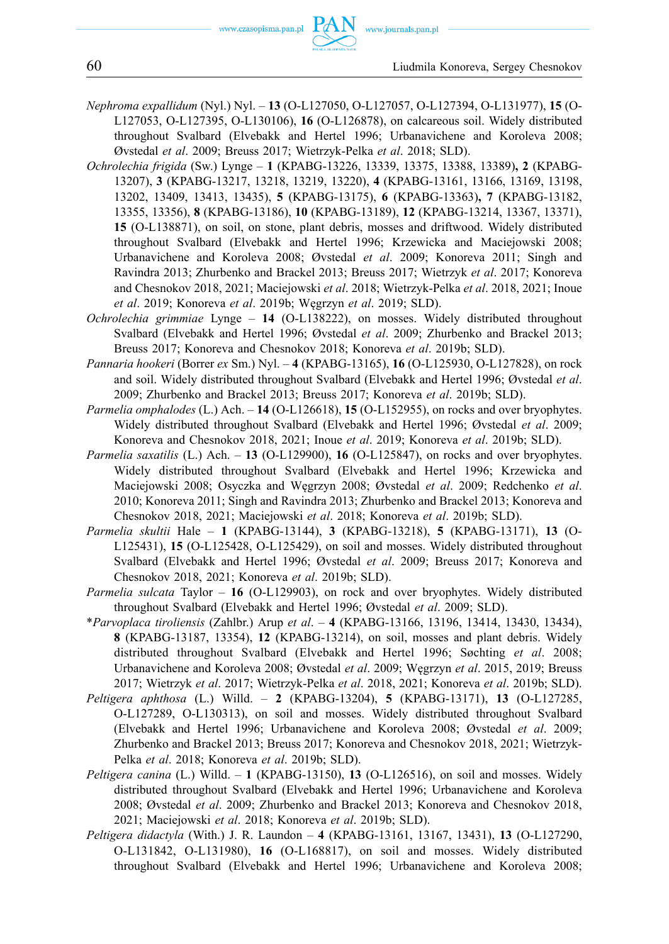- *Nephroma expallidum* (Nyl.) Nyl. **13** (O-L127050, O-L127057, O-L127394, O-L131977), **15** (O-L127053, O-L127395, O-L130106), **16** (O-L126878), on calcareous soil. Widely distributed throughout Svalbard (Elvebakk and Hertel 1996; Urbanavichene and Koroleva 2008; Øvstedal *et al*. 2009; Breuss 2017; Wietrzyk-Pelka *et al*. 2018; SLD).
- *Ochrolechia frigida* (Sw.) Lynge **1** (KPABG-13226, 13339, 13375, 13388, 13389)**, 2** (KPABG-13207), **3** (KPABG-13217, 13218, 13219, 13220), **4** (KPABG-13161, 13166, 13169, 13198, 13202, 13409, 13413, 13435), **5** (KPABG-13175), **6** (KPABG-13363)**, 7** (KPABG-13182, 13355, 13356), **8** (KPABG-13186), **10** (KPABG-13189), **12** (KPABG-13214, 13367, 13371), **15** (O-L138871), on soil, on stone, plant debris, mosses and driftwood. Widely distributed throughout Svalbard (Elvebakk and Hertel 1996; Krzewicka and Maciejowski 2008; Urbanavichene and Koroleva 2008; Øvstedal *et al*. 2009; Konoreva 2011; Singh and Ravindra 2013; Zhurbenko and Brackel 2013; Breuss 2017; Wietrzyk *et al*. 2017; Konoreva and Chesnokov 2018, 2021; Maciejowski *et al*. 2018; Wietrzyk-Pelka *et al*. 2018, 2021; Inoue *et al*. 2019; Konoreva *et al*. 2019b; Węgrzyn *et al*. 2019; SLD).
- *Ochrolechia grimmiae* Lynge **14** (O-L138222), on mosses. Widely distributed throughout Svalbard (Elvebakk and Hertel 1996; Øvstedal *et al*. 2009; Zhurbenko and Brackel 2013; Breuss 2017; Konoreva and Chesnokov 2018; Konoreva *et al*. 2019b; SLD).
- *Pannaria hookeri* (Borrer *ex* Sm.) Nyl. **4** (KPABG-13165), **16** (O-L125930, O-L127828), on rock and soil. Widely distributed throughout Svalbard (Elvebakk and Hertel 1996; Øvstedal *et al*. 2009; Zhurbenko and Brackel 2013; Breuss 2017; Konoreva *et al*. 2019b; SLD).
- *Parmelia omphalodes* (L.) Ach. **14** (O-L126618), **15** (O-L152955), on rocks and over bryophytes. Widely distributed throughout Svalbard (Elvebakk and Hertel 1996; Øvstedal *et al*. 2009; Konoreva and Chesnokov 2018, 2021; Inoue *et al*. 2019; Konoreva *et al*. 2019b; SLD).
- *Parmelia saxatilis* (L.) Ach. **13** (O-L129900), **16** (O-L125847), on rocks and over bryophytes. Widely distributed throughout Svalbard (Elvebakk and Hertel 1996; Krzewicka and Maciejowski 2008; Osyczka and Węgrzyn 2008; Øvstedal *et al*. 2009; Redchenko *et al*. 2010; Konoreva 2011; Singh and Ravindra 2013; Zhurbenko and Brackel 2013; Konoreva and Chesnokov 2018, 2021; Maciejowski *et al*. 2018; Konoreva *et al*. 2019b; SLD).
- *Parmelia skultii* Hale **1** (KPABG-13144), **3** (KPABG-13218), **5** (KPABG-13171), **13** (O-L125431), **15** (O-L125428, O-L125429), on soil and mosses. Widely distributed throughout Svalbard (Elvebakk and Hertel 1996; Øvstedal *et al*. 2009; Breuss 2017; Konoreva and Chesnokov 2018, 2021; Konoreva *et al*. 2019b; SLD).
- *Parmelia sulcata* Taylor **16** (O-L129903), on rock and over bryophytes. Widely distributed throughout Svalbard (Elvebakk and Hertel 1996; Øvstedal *et al*. 2009; SLD).
- \**Parvoplaca tiroliensis* (Zahlbr.) Arup *et al*. **4** (KPABG-13166, 13196, 13414, 13430, 13434), **8** (KPABG-13187, 13354), **12** (KPABG-13214), on soil, mosses and plant debris. Widely distributed throughout Svalbard (Elvebakk and Hertel 1996; Søchting *et al*. 2008; Urbanavichene and Koroleva 2008; Øvstedal *et al*. 2009; Węgrzyn *et al*. 2015, 2019; Breuss 2017; Wietrzyk *et al*. 2017; Wietrzyk-Pelka *et al*. 2018, 2021; Konoreva *et al*. 2019b; SLD).
- *Peltigera aphthosa* (L.) Willd. **2** (KPABG-13204), **5** (KPABG-13171), **13** (O-L127285, O-L127289, O-L130313), on soil and mosses. Widely distributed throughout Svalbard (Elvebakk and Hertel 1996; Urbanavichene and Koroleva 2008; Øvstedal *et al*. 2009; Zhurbenko and Brackel 2013; Breuss 2017; Konoreva and Chesnokov 2018, 2021; Wietrzyk-Pelka *et al*. 2018; Konoreva *et al*. 2019b; SLD).
- *Peltigera canina* (L.) Willd. **1** (KPABG-13150), **13** (O-L126516), on soil and mosses. Widely distributed throughout Svalbard (Elvebakk and Hertel 1996; Urbanavichene and Koroleva 2008; Øvstedal *et al*. 2009; Zhurbenko and Brackel 2013; Konoreva and Chesnokov 2018, 2021; Maciejowski *et al*. 2018; Konoreva *et al*. 2019b; SLD).
- *Peltigera didactyla* (With.) J. R. Laundon **4** (KPABG-13161, 13167, 13431), **13** (O-L127290, O-L131842, O-L131980), **16** (O-L168817), on soil and mosses. Widely distributed throughout Svalbard (Elvebakk and Hertel 1996; Urbanavichene and Koroleva 2008;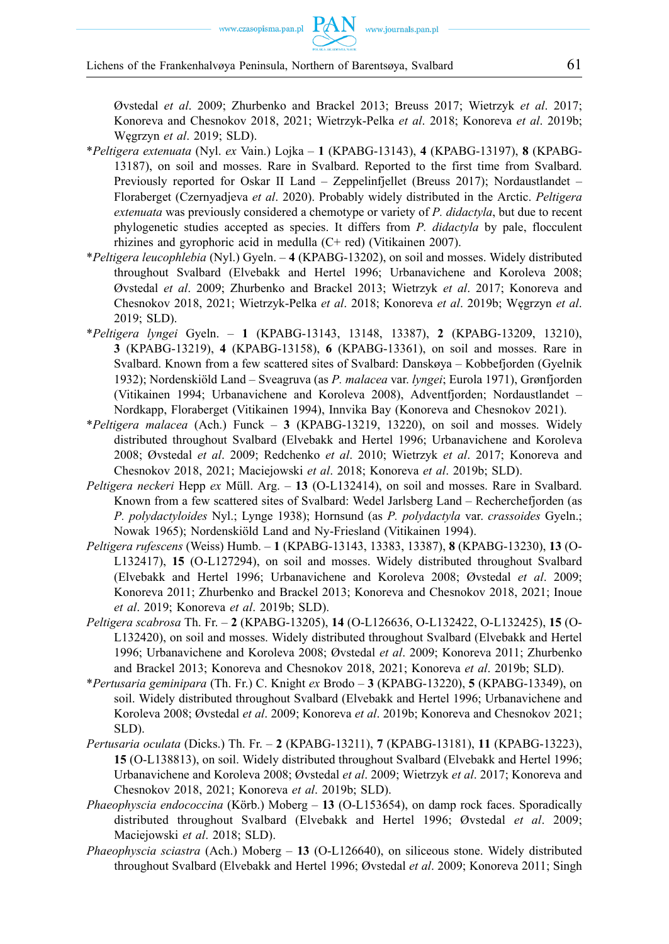Øvstedal *et al*. 2009; Zhurbenko and Brackel 2013; Breuss 2017; Wietrzyk *et al*. 2017; Konoreva and Chesnokov 2018, 2021; Wietrzyk-Pelka *et al*. 2018; Konoreva *et al*. 2019b; Węgrzyn *et al*. 2019; SLD).

- \**Peltigera extenuata* (Nyl. *ex* Vain.) Lojka **1** (KPABG-13143), **4** (KPABG-13197), **8** (KPABG-13187), on soil and mosses. Rare in Svalbard. Reported to the first time from Svalbard. Previously reported for Oskar II Land – Zeppelinfjellet (Breuss 2017); Nordaustlandet – Floraberget (Czernyadjeva *et al*. 2020). Probably widely distributed in the Arctic. *Peltigera extenuata* was previously considered a chemotype or variety of *P. didactyla*, but due to recent phylogenetic studies accepted as species. It differs from *P. didactyla* by pale, flocculent rhizines and gyrophoric acid in medulla (C+ red) (Vitikainen 2007).
- \**Peltigera leucophlebia* (Nyl.) Gyeln. **4** (KPABG-13202), on soil and mosses. Widely distributed throughout Svalbard (Elvebakk and Hertel 1996; Urbanavichene and Koroleva 2008; Øvstedal *et al*. 2009; Zhurbenko and Brackel 2013; Wietrzyk *et al*. 2017; Konoreva and Chesnokov 2018, 2021; Wietrzyk-Pelka *et al*. 2018; Konoreva *et al*. 2019b; Węgrzyn *et al*. 2019; SLD).
- \**Peltigera lyngei* Gyeln. **1** (KPABG-13143, 13148, 13387), **2** (KPABG-13209, 13210), **3** (KPABG-13219), **4** (KPABG-13158), **6** (KPABG-13361), on soil and mosses. Rare in Svalbard. Known from a few scattered sites of Svalbard: Danskøya – Kobbefjorden (Gyelnik 1932); Nordenskiöld Land – Sveagruva (as *P. malacea* var. *lyngei*; Eurola 1971), Grønfjorden (Vitikainen 1994; Urbanavichene and Koroleva 2008), Adventfjorden; Nordaustlandet – Nordkapp, Floraberget (Vitikainen 1994), Innvika Bay (Konoreva and Chesnokov 2021).
- \**Peltigera malacea* (Ach.) Funck **3** (KPABG-13219, 13220), on soil and mosses. Widely distributed throughout Svalbard (Elvebakk and Hertel 1996; Urbanavichene and Koroleva 2008; Øvstedal *et al*. 2009; Redchenko *et al*. 2010; Wietrzyk *et al*. 2017; Konoreva and Chesnokov 2018, 2021; Maciejowski *et al*. 2018; Konoreva *et al*. 2019b; SLD).
- *Peltigera neckeri* Hepp *ex* Müll. Arg. **13** (O-L132414), on soil and mosses. Rare in Svalbard. Known from a few scattered sites of Svalbard: Wedel Jarlsberg Land – Recherchefjorden (as *P. polydactyloides* Nyl.; Lynge 1938); Hornsund (as *P. polydactyla* var. *crassoides* Gyeln.; Nowak 1965); Nordenskiöld Land and Ny-Friesland (Vitikainen 1994).
- *Peltigera rufescens* (Weiss) Humb. **1** (KPABG-13143, 13383, 13387), **8** (KPABG-13230), **13** (O-L132417), **15** (O-L127294), on soil and mosses. Widely distributed throughout Svalbard (Elvebakk and Hertel 1996; Urbanavichene and Koroleva 2008; Øvstedal *et al*. 2009; Konoreva 2011; Zhurbenko and Brackel 2013; Konoreva and Chesnokov 2018, 2021; Inoue *et al*. 2019; Konoreva *et al*. 2019b; SLD).
- *Peltigera scabrosa* Th. Fr. **2** (KPABG-13205), **14** (O-L126636, O-L132422, O-L132425), **15** (O-L132420), on soil and mosses. Widely distributed throughout Svalbard (Elvebakk and Hertel 1996; Urbanavichene and Koroleva 2008; Øvstedal *et al*. 2009; Konoreva 2011; Zhurbenko and Brackel 2013; Konoreva and Chesnokov 2018, 2021; Konoreva *et al*. 2019b; SLD).
- \**Pertusaria geminipara* (Th. Fr.) C. Knight *ex* Brodo **3** (KPABG-13220), **5** (KPABG-13349), on soil. Widely distributed throughout Svalbard (Elvebakk and Hertel 1996; Urbanavichene and Koroleva 2008; Øvstedal *et al*. 2009; Konoreva *et al*. 2019b; Konoreva and Chesnokov 2021; SLD).
- *Pertusaria oculata* (Dicks.) Th. Fr. **2** (KPABG-13211), **7** (KPABG-13181), **11** (KPABG-13223), **15** (O-L138813), on soil. Widely distributed throughout Svalbard (Elvebakk and Hertel 1996; Urbanavichene and Koroleva 2008; Øvstedal *et al*. 2009; Wietrzyk *et al*. 2017; Konoreva and Chesnokov 2018, 2021; Konoreva *et al*. 2019b; SLD).
- *Phaeophyscia endococcina* (Körb.) Moberg **13** (O-L153654), on damp rock faces. Sporadically distributed throughout Svalbard (Elvebakk and Hertel 1996; Øvstedal *et al*. 2009; Maciejowski *et al*. 2018; SLD).
- *Phaeophyscia sciastra* (Ach.) Moberg **13** (O-L126640), on siliceous stone. Widely distributed throughout Svalbard (Elvebakk and Hertel 1996; Øvstedal *et al*. 2009; Konoreva 2011; Singh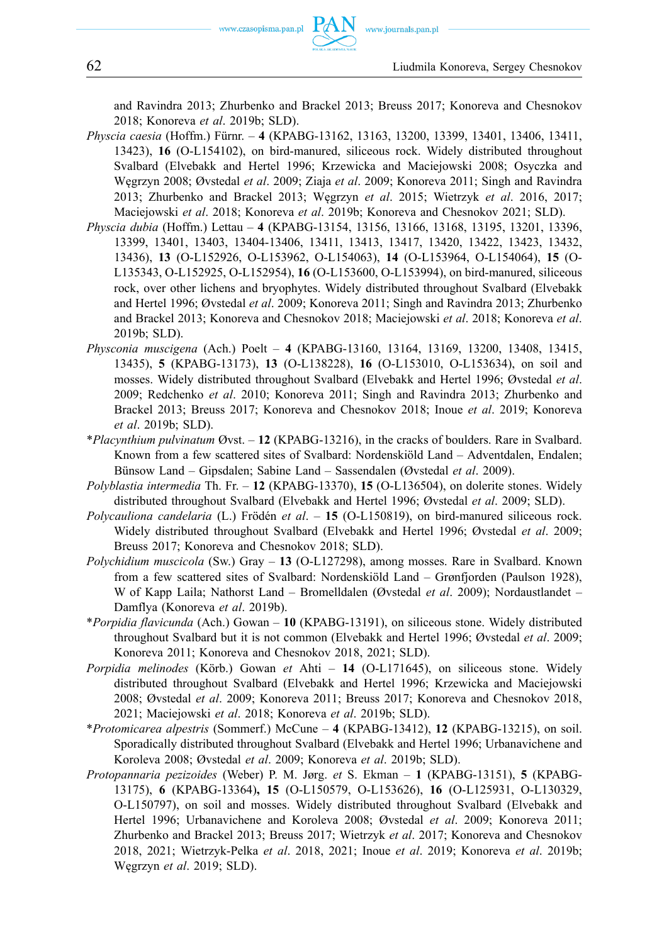and Ravindra 2013; Zhurbenko and Brackel 2013; Breuss 2017; Konoreva and Chesnokov 2018; Konoreva *et al*. 2019b; SLD).

- *Physcia caesia* (Hoffm.) Fürnr. **4** (KPABG-13162, 13163, 13200, 13399, 13401, 13406, 13411, 13423), **16** (O-L154102), on bird-manured, siliceous rock. Widely distributed throughout Svalbard (Elvebakk and Hertel 1996; Krzewicka and Maciejowski 2008; Osyczka and Węgrzyn 2008; Øvstedal *et al*. 2009; Ziaja *et al*. 2009; Konoreva 2011; Singh and Ravindra 2013; Zhurbenko and Brackel 2013; Węgrzyn *et al*. 2015; Wietrzyk *et al*. 2016, 2017; Maciejowski *et al*. 2018; Konoreva *et al*. 2019b; Konoreva and Chesnokov 2021; SLD).
- *Physcia dubia* (Hoffm.) Lettau **4** (KPABG-13154, 13156, 13166, 13168, 13195, 13201, 13396, 13399, 13401, 13403, 13404-13406, 13411, 13413, 13417, 13420, 13422, 13423, 13432, 13436), **13** (O-L152926, O-L153962, O-L154063), **14** (O-L153964, O-L154064), **15** (O-L135343, O-L152925, O-L152954), **16** (O-L153600, O-L153994), on bird-manured, siliceous rock, over other lichens and bryophytes. Widely distributed throughout Svalbard (Elvebakk and Hertel 1996; Øvstedal *et al*. 2009; Konoreva 2011; Singh and Ravindra 2013; Zhurbenko and Brackel 2013; Konoreva and Chesnokov 2018; Maciejowski *et al*. 2018; Konoreva *et al*. 2019b; SLD).
- *Physconia muscigena* (Ach.) Poelt **4** (KPABG-13160, 13164, 13169, 13200, 13408, 13415, 13435), **5** (KPABG-13173), **13** (O-L138228), **16** (O-L153010, O-L153634), on soil and mosses. Widely distributed throughout Svalbard (Elvebakk and Hertel 1996; Øvstedal *et al*. 2009; Redchenko *et al*. 2010; Konoreva 2011; Singh and Ravindra 2013; Zhurbenko and Brackel 2013; Breuss 2017; Konoreva and Chesnokov 2018; Inoue *et al*. 2019; Konoreva *et al*. 2019b; SLD).
- \**Placynthium pulvinatum* Øvst. **12** (KPABG-13216), in the cracks of boulders. Rare in Svalbard. Known from a few scattered sites of Svalbard: Nordenskiöld Land – Adventdalen, Endalen; Bünsow Land – Gipsdalen; Sabine Land – Sassendalen (Øvstedal *et al*. 2009).
- *Polyblastia intermedia* Th. Fr. **12** (KPABG-13370), **15** (O-L136504), on dolerite stones. Widely distributed throughout Svalbard (Elvebakk and Hertel 1996; Øvstedal *et al*. 2009; SLD).
- *Polycauliona candelaria* (L.) Frödén *et al*. **15** (O-L150819), on bird-manured siliceous rock. Widely distributed throughout Svalbard (Elvebakk and Hertel 1996; Øvstedal *et al*. 2009; Breuss 2017; Konoreva and Chesnokov 2018; SLD).
- *Polychidium muscicola* (Sw.) Gray **13** (O-L127298), among mosses. Rare in Svalbard. Known from a few scattered sites of Svalbard: Nordenskiöld Land – Grønfjorden (Paulson 1928), W of Kapp Laila; Nathorst Land – Bromelldalen (Øvstedal *et al*. 2009); Nordaustlandet – Damflya (Konoreva *et al*. 2019b).
- \**Porpidia flavicunda* (Ach.) Gowan **10** (KPABG-13191), on siliceous stone. Widely distributed throughout Svalbard but it is not common (Elvebakk and Hertel 1996; Øvstedal *et al*. 2009; Konoreva 2011; Konoreva and Chesnokov 2018, 2021; SLD).
- *Porpidia melinodes* (Körb.) Gowan *et* Ahti **14** (O-L171645), on siliceous stone. Widely distributed throughout Svalbard (Elvebakk and Hertel 1996; Krzewicka and Maciejowski 2008; Øvstedal *et al*. 2009; Konoreva 2011; Breuss 2017; Konoreva and Chesnokov 2018, 2021; Maciejowski *et al*. 2018; Konoreva *et al*. 2019b; SLD).
- \**Protomicarea alpestris* (Sommerf.) McCune **4** (KPABG-13412), **12** (KPABG-13215), on soil. Sporadically distributed throughout Svalbard (Elvebakk and Hertel 1996; Urbanavichene and Koroleva 2008; Øvstedal *et al*. 2009; Konoreva *et al*. 2019b; SLD).
- *Protopannaria pezizoides* (Weber) P. M. Jørg. *et* S. Ekman **1** (KPABG-13151), **5** (KPABG-13175), **6** (KPABG-13364)**, 15** (O-L150579, O-L153626), **16** (O-L125931, O-L130329, O-L150797), on soil and mosses. Widely distributed throughout Svalbard (Elvebakk and Hertel 1996; Urbanavichene and Koroleva 2008; Øvstedal *et al*. 2009; Konoreva 2011; Zhurbenko and Brackel 2013; Breuss 2017; Wietrzyk *et al*. 2017; Konoreva and Chesnokov 2018, 2021; Wietrzyk-Pelka *et al*. 2018, 2021; Inoue *et al*. 2019; Konoreva *et al*. 2019b; Węgrzyn *et al*. 2019; SLD).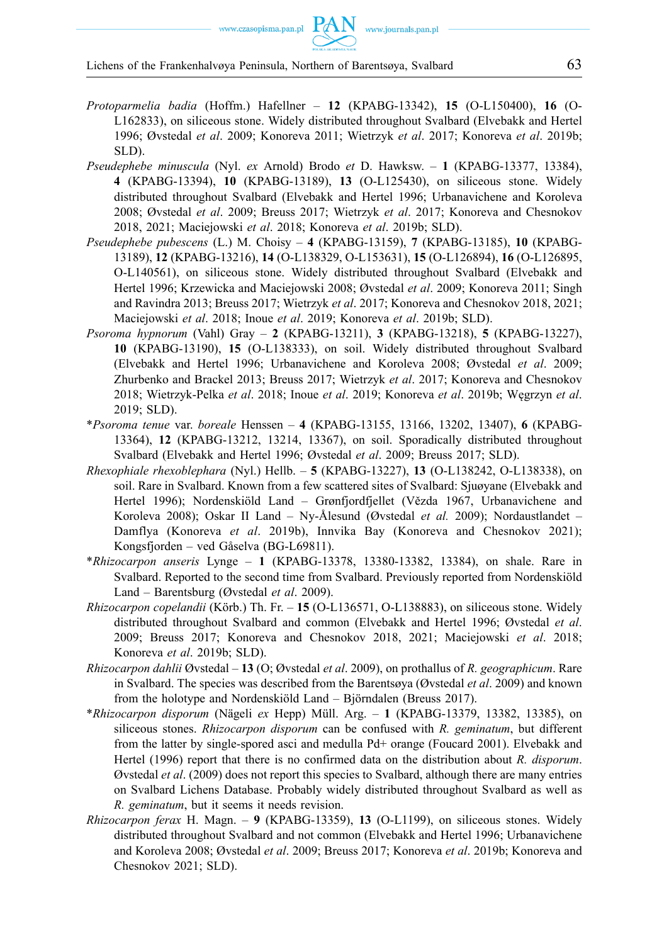- *Protoparmelia badia* (Hoffm.) Hafellner **12** (KPABG-13342), **15** (O-L150400), **16** (O-L162833), on siliceous stone. Widely distributed throughout Svalbard (Elvebakk and Hertel 1996; Øvstedal *et al*. 2009; Konoreva 2011; Wietrzyk *et al*. 2017; Konoreva *et al*. 2019b; SLD).
- *Pseudephebe minuscula* (Nyl. *ex* Arnold) Brodo *et* D. Hawksw. **1** (KPABG-13377, 13384), **4** (KPABG-13394), **10** (KPABG-13189), **13** (O-L125430), on siliceous stone. Widely distributed throughout Svalbard (Elvebakk and Hertel 1996; Urbanavichene and Koroleva 2008; Øvstedal *et al*. 2009; Breuss 2017; Wietrzyk *et al*. 2017; Konoreva and Chesnokov 2018, 2021; Maciejowski *et al*. 2018; Konoreva *et al*. 2019b; SLD).
- *Pseudephebe pubescens* (L.) M. Choisy **4** (KPABG-13159), **7** (KPABG-13185), **10** (KPABG-13189), **12** (KPABG-13216), **14** (O-L138329, O-L153631), **15** (O-L126894), **16** (O-L126895, O-L140561), on siliceous stone. Widely distributed throughout Svalbard (Elvebakk and Hertel 1996; Krzewicka and Maciejowski 2008; Øvstedal *et al*. 2009; Konoreva 2011; Singh and Ravindra 2013; Breuss 2017; Wietrzyk *et al*. 2017; Konoreva and Chesnokov 2018, 2021; Maciejowski *et al*. 2018; Inoue *et al*. 2019; Konoreva *et al*. 2019b; SLD).
- *Psoroma hypnorum* (Vahl) Gray **2** (KPABG-13211), **3** (KPABG-13218), **5** (KPABG-13227), **10** (KPABG-13190), **15** (O-L138333), on soil. Widely distributed throughout Svalbard (Elvebakk and Hertel 1996; Urbanavichene and Koroleva 2008; Øvstedal *et al*. 2009; Zhurbenko and Brackel 2013; Breuss 2017; Wietrzyk *et al*. 2017; Konoreva and Chesnokov 2018; Wietrzyk-Pelka *et al*. 2018; Inoue *et al*. 2019; Konoreva *et al*. 2019b; Węgrzyn *et al*. 2019; SLD).
- \**Psoroma tenue* var. *boreale* Henssen **4** (KPABG-13155, 13166, 13202, 13407), **6** (KPABG-13364), **12** (KPABG-13212, 13214, 13367), on soil. Sporadically distributed throughout Svalbard (Elvebakk and Hertel 1996; Øvstedal *et al*. 2009; Breuss 2017; SLD).
- *Rhexophiale rhexoblephara* (Nyl.) Hellb. **5** (KPABG-13227), **13** (O-L138242, O-L138338), on soil. Rare in Svalbard. Known from a few scattered sites of Svalbard: Sjuøyane (Elvebakk and Hertel 1996); Nordenskiöld Land – Grønfjordfjellet (Vězda 1967, Urbanavichene and Koroleva 2008); Oskar II Land – Ny-Ålesund (Øvstedal *et al.* 2009); Nordaustlandet – Damflya (Konoreva *et al*. 2019b), Innvika Bay (Konoreva and Chesnokov 2021); Kongsfjorden – ved Gåselva (BG-L69811).
- \**Rhizocarpon anseris* Lynge **1** (KPABG-13378, 13380-13382, 13384), on shale. Rare in Svalbard. Reported to the second time from Svalbard. Previously reported from Nordenskiöld Land – Barentsburg (Øvstedal *et al*. 2009).
- *Rhizocarpon copelandii* (Körb.) Th. Fr. **15** (O-L136571, O-L138883), on siliceous stone. Widely distributed throughout Svalbard and common (Elvebakk and Hertel 1996; Øvstedal *et al*. 2009; Breuss 2017; Konoreva and Chesnokov 2018, 2021; Maciejowski *et al*. 2018; Konoreva *et al*. 2019b; SLD).
- *Rhizocarpon dahlii* Øvstedal **13** (O; Øvstedal *et al*. 2009), on prothallus of *R. geographicum*. Rare in Svalbard. The species was described from the Barentsøya (Øvstedal *et al*. 2009) and known from the holotype and Nordenskiöld Land – Björndalen (Breuss 2017).
- \**Rhizocarpon disporum* (Nägeli *ex* Hepp) Müll. Arg. **1** (KPABG-13379, 13382, 13385), on siliceous stones. *Rhizocarpon disporum* can be confused with *R. geminatum*, but different from the latter by single-spored asci and medulla Pd+ orange (Foucard 2001). Elvebakk and Hertel (1996) report that there is no confirmed data on the distribution about *R. disporum*. Øvstedal *et al*. (2009) does not report this species to Svalbard, although there are many entries on Svalbard Lichens Database. Probably widely distributed throughout Svalbard as well as *R. geminatum*, but it seems it needs revision.
- *Rhizocarpon ferax* H. Magn. **9** (KPABG-13359), **13** (O-L1199), on siliceous stones. Widely distributed throughout Svalbard and not common (Elvebakk and Hertel 1996; Urbanavichene and Koroleva 2008; Øvstedal *et al*. 2009; Breuss 2017; Konoreva *et al*. 2019b; Konoreva and Chesnokov 2021; SLD).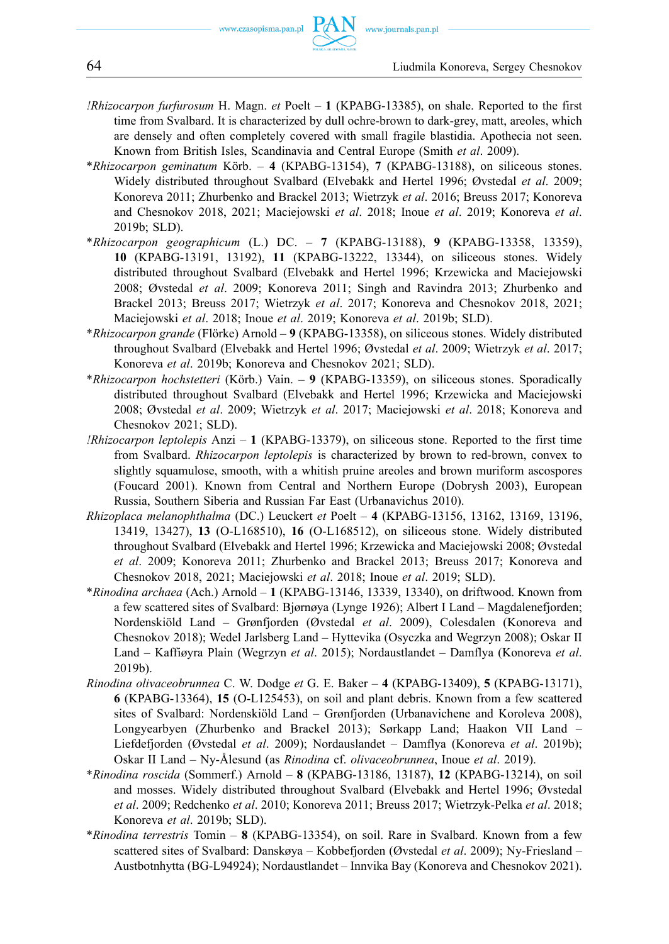- *!Rhizocarpon furfurosum* H. Magn. *et* Poelt **1** (KPABG-13385), on shale. Reported to the first time from Svalbard. It is characterized by dull ochre-brown to dark-grey, matt, areoles, which are densely and often completely covered with small fragile blastidia. Apothecia not seen. Known from British Isles, Scandinavia and Central Europe (Smith *et al*. 2009).
- \**Rhizocarpon geminatum* Körb. **4** (KPABG-13154), **7** (KPABG-13188), on siliceous stones. Widely distributed throughout Svalbard (Elvebakk and Hertel 1996; Øvstedal *et al*. 2009; Konoreva 2011; Zhurbenko and Brackel 2013; Wietrzyk *et al*. 2016; Breuss 2017; Konoreva and Chesnokov 2018, 2021; Maciejowski *et al*. 2018; Inoue *et al*. 2019; Konoreva *et al*. 2019b; SLD).
- \**Rhizocarpon geographicum* (L.) DC. **7** (KPABG-13188), **9** (KPABG-13358, 13359), **10** (KPABG-13191, 13192), **11** (KPABG-13222, 13344), on siliceous stones. Widely distributed throughout Svalbard (Elvebakk and Hertel 1996; Krzewicka and Maciejowski 2008; Øvstedal *et al*. 2009; Konoreva 2011; Singh and Ravindra 2013; Zhurbenko and Brackel 2013; Breuss 2017; Wietrzyk *et al*. 2017; Konoreva and Chesnokov 2018, 2021; Maciejowski *et al*. 2018; Inoue *et al*. 2019; Konoreva *et al*. 2019b; SLD).
- \**Rhizocarpon grande* (Flörke) Arnold **9** (KPABG-13358), on siliceous stones. Widely distributed throughout Svalbard (Elvebakk and Hertel 1996; Øvstedal *et al*. 2009; Wietrzyk *et al*. 2017; Konoreva *et al*. 2019b; Konoreva and Chesnokov 2021; SLD).
- \**Rhizocarpon hochstetteri* (Körb.) Vain. **9** (KPABG-13359), on siliceous stones. Sporadically distributed throughout Svalbard (Elvebakk and Hertel 1996; Krzewicka and Maciejowski 2008; Øvstedal *et al*. 2009; Wietrzyk *et al*. 2017; Maciejowski *et al*. 2018; Konoreva and Chesnokov 2021; SLD).
- *!Rhizocarpon leptolepis* Anzi **1** (KPABG-13379), on siliceous stone. Reported to the first time from Svalbard. *Rhizocarpon leptolepis* is characterized by brown to red-brown, convex to slightly squamulose, smooth, with a whitish pruine areoles and brown muriform ascospores (Foucard 2001). Known from Central and Northern Europe (Dobrysh 2003), European Russia, Southern Siberia and Russian Far East (Urbanavichus 2010).
- *Rhizoplaca melanophthalma* (DC.) Leuckert *et* Poelt **4** (KPABG-13156, 13162, 13169, 13196, 13419, 13427), **13** (O-L168510), **16** (O-L168512), on siliceous stone. Widely distributed throughout Svalbard (Elvebakk and Hertel 1996; Krzewicka and Maciejowski 2008; Øvstedal *et al*. 2009; Konoreva 2011; Zhurbenko and Brackel 2013; Breuss 2017; Konoreva and Chesnokov 2018, 2021; Maciejowski *et al*. 2018; Inoue *et al*. 2019; SLD).
- \**Rinodina archaea* (Ach.) Arnold **1** (KPABG-13146, 13339, 13340), on driftwood. Known from a few scattered sites of Svalbard: Bjørnøya (Lynge 1926); Albert I Land – Magdalenefjorden; Nordenskiöld Land – Grønfjorden (Øvstedal *et al*. 2009), Colesdalen (Konoreva and Chesnokov 2018); Wedel Jarlsberg Land – Hyttevika (Osyczka and Wegrzyn 2008); Oskar II Land – Kaffiøyra Plain (Wegrzyn *et al*. 2015); Nordaustlandet – Damflya (Konoreva *et al*. 2019b).
- *Rinodina olivaceobrunnea* C. W. Dodge *et* G. E. Baker **4** (KPABG-13409), **5** (KPABG-13171), **6** (KPABG-13364), **15** (O-L125453), on soil and plant debris. Known from a few scattered sites of Svalbard: Nordenskiöld Land – Grønfjorden (Urbanavichene and Koroleva 2008), Longyearbyen (Zhurbenko and Brackel 2013); Sørkapp Land; Haakon VII Land – Liefdefjorden (Øvstedal *et al*. 2009); Nordauslandet – Damflya (Konoreva *et al*. 2019b); Oskar II Land – Ny-Ålesund (as *Rinodina* cf. *olivaceobrunnea*, Inoue *et al*. 2019).
- \**Rinodina roscida* (Sommerf.) Arnold **8** (KPABG-13186, 13187), **12** (KPABG-13214), on soil and mosses. Widely distributed throughout Svalbard (Elvebakk and Hertel 1996; Øvstedal *et al*. 2009; Redchenko *et al*. 2010; Konoreva 2011; Breuss 2017; Wietrzyk-Pelka *et al*. 2018; Konoreva *et al*. 2019b; SLD).
- \**Rinodina terrestris* Tomin **8** (KPABG-13354), on soil. Rare in Svalbard. Known from a few scattered sites of Svalbard: Danskøya – Kobbefjorden (Øvstedal *et al*. 2009); Ny-Friesland – Austbotnhytta (BG-L94924); Nordaustlandet – Innvika Bay (Konoreva and Chesnokov 2021).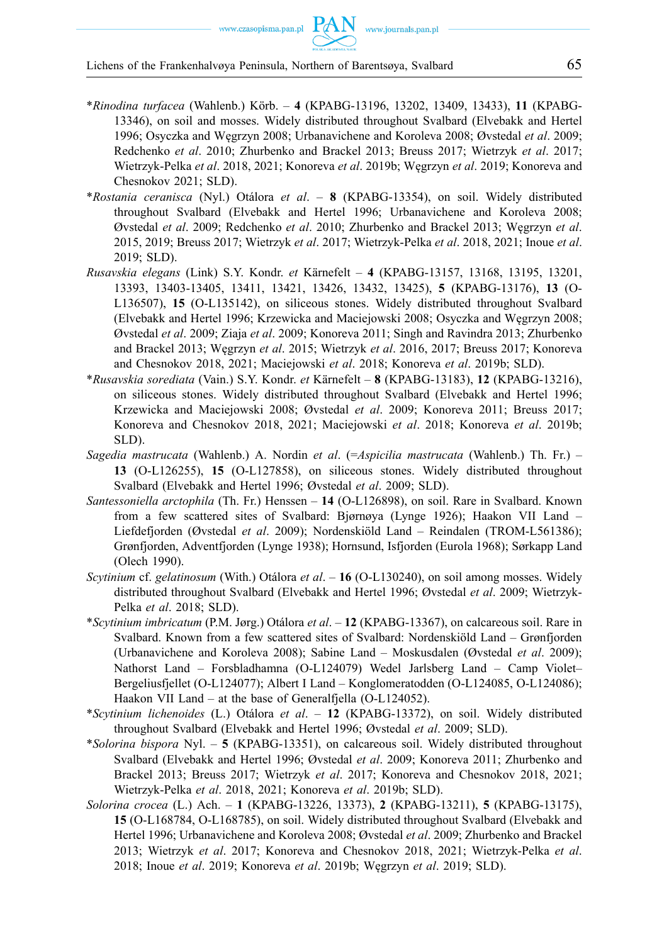- \**Rinodina turfacea* (Wahlenb.) Körb. **4** (KPABG-13196, 13202, 13409, 13433), **11** (KPABG-13346), on soil and mosses. Widely distributed throughout Svalbard (Elvebakk and Hertel 1996; Osyczka and Węgrzyn 2008; Urbanavichene and Koroleva 2008; Øvstedal *et al*. 2009; Redchenko *et al*. 2010; Zhurbenko and Brackel 2013; Breuss 2017; Wietrzyk *et al*. 2017; Wietrzyk-Pelka *et al*. 2018, 2021; Konoreva *et al*. 2019b; Węgrzyn *et al*. 2019; Konoreva and Chesnokov 2021; SLD).
- \**Rostania ceranisca* (Nyl.) Otálora *et al*. **8** (KPABG-13354), on soil. Widely distributed throughout Svalbard (Elvebakk and Hertel 1996; Urbanavichene and Koroleva 2008; Øvstedal *et al*. 2009; Redchenko *et al*. 2010; Zhurbenko and Brackel 2013; Węgrzyn *et al*. 2015, 2019; Breuss 2017; Wietrzyk *et al*. 2017; Wietrzyk-Pelka *et al*. 2018, 2021; Inoue *et al*. 2019; SLD).
- *Rusavskia elegans* (Link) S.Y. Kondr. *et* Kärnefelt **4** (KPABG-13157, 13168, 13195, 13201, 13393, 13403-13405, 13411, 13421, 13426, 13432, 13425), **5** (KPABG-13176), **13** (O-L136507), **15** (O-L135142), on siliceous stones. Widely distributed throughout Svalbard (Elvebakk and Hertel 1996; Krzewicka and Maciejowski 2008; Osyczka and Węgrzyn 2008; Øvstedal *et al*. 2009; Ziaja *et al*. 2009; Konoreva 2011; Singh and Ravindra 2013; Zhurbenko and Brackel 2013; Węgrzyn *et al*. 2015; Wietrzyk *et al*. 2016, 2017; Breuss 2017; Konoreva and Chesnokov 2018, 2021; Maciejowski *et al*. 2018; Konoreva *et al*. 2019b; SLD).
- \**Rusavskia sorediata* (Vain.) S.Y. Kondr. *et* Kärnefelt **8** (KPABG-13183), **12** (KPABG-13216), on siliceous stones. Widely distributed throughout Svalbard (Elvebakk and Hertel 1996; Krzewicka and Maciejowski 2008; Øvstedal *et al*. 2009; Konoreva 2011; Breuss 2017; Konoreva and Chesnokov 2018, 2021; Maciejowski *et al*. 2018; Konoreva *et al*. 2019b; SLD).
- *Sagedia mastrucata* (Wahlenb.) A. Nordin *et al*. (=*Aspicilia mastrucata* (Wahlenb.) Th. Fr.) **13** (O-L126255), **15** (O-L127858), on siliceous stones. Widely distributed throughout Svalbard (Elvebakk and Hertel 1996; Øvstedal *et al*. 2009; SLD).
- *Santessoniella arctophila* (Th. Fr.) Henssen **14** (O-L126898), on soil. Rare in Svalbard. Known from a few scattered sites of Svalbard: Bjørnøya (Lynge 1926); Haakon VII Land – Liefdefjorden (Øvstedal *et al*. 2009); Nordenskiöld Land – Reindalen (TROM-L561386); Grønfjorden, Adventfjorden (Lynge 1938); Hornsund, Isfjorden (Eurola 1968); Sørkapp Land (Olech 1990).
- *Scytinium* cf. *gelatinosum* (With.) Otálora *et al*. **16** (O-L130240), on soil among mosses. Widely distributed throughout Svalbard (Elvebakk and Hertel 1996; Øvstedal *et al*. 2009; Wietrzyk-Pelka *et al*. 2018; SLD).
- \**Scytinium imbricatum* (P.M. Jørg.) Otálora *et al*. **12** (KPABG-13367), on calcareous soil. Rare in Svalbard. Known from a few scattered sites of Svalbard: Nordenskiöld Land – Grønfjorden (Urbanavichene and Koroleva 2008); Sabine Land – Moskusdalen (Øvstedal *et al*. 2009); Nathorst Land – Forsbladhamna (O-L124079) Wedel Jarlsberg Land – Camp Violet– Bergeliusfjellet (O-L124077); Albert I Land – Konglomeratodden (O-L124085, O-L124086); Haakon VII Land – at the base of Generalfjella (O-L124052).
- \**Scytinium lichenoides* (L.) Otálora *et al*. **12** (KPABG-13372), on soil. Widely distributed throughout Svalbard (Elvebakk and Hertel 1996; Øvstedal *et al*. 2009; SLD).
- \**Solorina bispora* Nyl. **5** (KPABG-13351), on calcareous soil. Widely distributed throughout Svalbard (Elvebakk and Hertel 1996; Øvstedal *et al*. 2009; Konoreva 2011; Zhurbenko and Brackel 2013; Breuss 2017; Wietrzyk *et al*. 2017; Konoreva and Chesnokov 2018, 2021; Wietrzyk-Pelka *et al*. 2018, 2021; Konoreva *et al*. 2019b; SLD).
- *Solorina crocea* (L.) Ach. **1** (KPABG-13226, 13373), **2** (KPABG-13211), **5** (KPABG-13175), **15** (O-L168784, O-L168785), on soil. Widely distributed throughout Svalbard (Elvebakk and Hertel 1996; Urbanavichene and Koroleva 2008; Øvstedal *et al*. 2009; Zhurbenko and Brackel 2013; Wietrzyk *et al*. 2017; Konoreva and Chesnokov 2018, 2021; Wietrzyk-Pelka *et al*. 2018; Inoue *et al*. 2019; Konoreva *et al*. 2019b; Węgrzyn *et al*. 2019; SLD).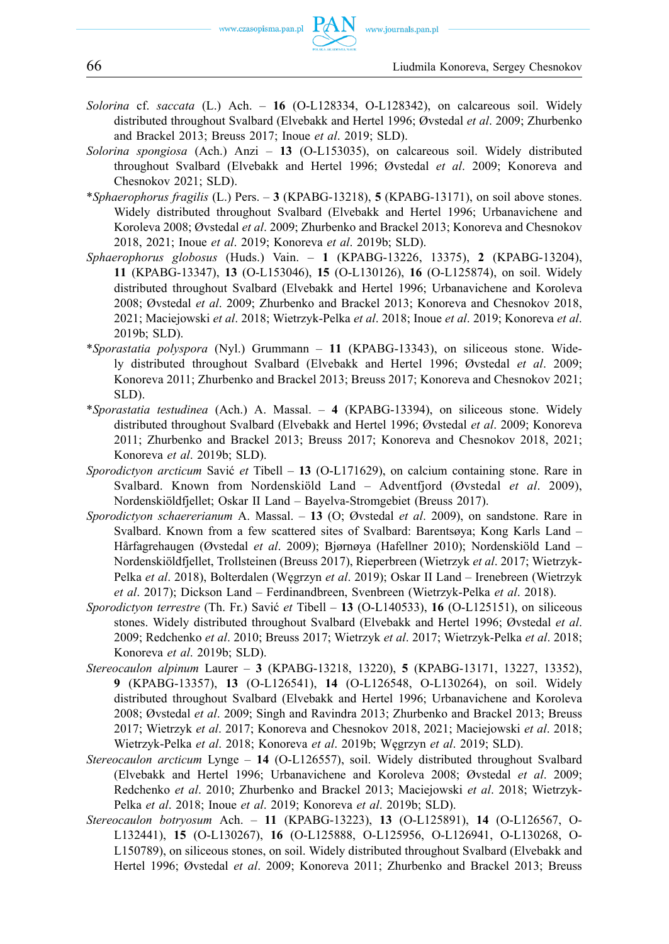66 Liudmila Konoreva, Sergey Chesnokov

- *Solorina* cf. *saccata* (L.) Ach. **16** (O-L128334, O-L128342), on calcareous soil. Widely distributed throughout Svalbard (Elvebakk and Hertel 1996; Øvstedal *et al*. 2009; Zhurbenko and Brackel 2013; Breuss 2017; Inoue *et al*. 2019; SLD).
- *Solorina spongiosa* (Ach.) Anzi **13** (O-L153035), on calcareous soil. Widely distributed throughout Svalbard (Elvebakk and Hertel 1996; Øvstedal *et al*. 2009; Konoreva and Chesnokov 2021; SLD).
- \**Sphaerophorus fragilis* (L.) Pers. **3** (KPABG-13218), **5** (KPABG-13171), on soil above stones. Widely distributed throughout Svalbard (Elvebakk and Hertel 1996; Urbanavichene and Koroleva 2008; Øvstedal *et al*. 2009; Zhurbenko and Brackel 2013; Konoreva and Chesnokov 2018, 2021; Inoue *et al*. 2019; Konoreva *et al*. 2019b; SLD).
- *Sphaerophorus globosus* (Huds.) Vain. **1** (KPABG-13226, 13375), **2** (KPABG-13204), **11** (KPABG-13347), **13** (O-L153046), **15** (O-L130126), **16** (O-L125874), on soil. Widely distributed throughout Svalbard (Elvebakk and Hertel 1996; Urbanavichene and Koroleva 2008; Øvstedal *et al*. 2009; Zhurbenko and Brackel 2013; Konoreva and Chesnokov 2018, 2021; Maciejowski *et al*. 2018; Wietrzyk-Pelka *et al*. 2018; Inoue *et al*. 2019; Konoreva *et al*. 2019b; SLD).
- \**Sporastatia polyspora* (Nyl.) Grummann **11** (KPABG-13343), on siliceous stone. Widely distributed throughout Svalbard (Elvebakk and Hertel 1996; Øvstedal *et al*. 2009; Konoreva 2011; Zhurbenko and Brackel 2013; Breuss 2017; Konoreva and Chesnokov 2021; SLD).
- \**Sporastatia testudinea* (Ach.) A. Massal. **4** (KPABG-13394), on siliceous stone. Widely distributed throughout Svalbard (Elvebakk and Hertel 1996; Øvstedal *et al*. 2009; Konoreva 2011; Zhurbenko and Brackel 2013; Breuss 2017; Konoreva and Chesnokov 2018, 2021; Konoreva *et al*. 2019b; SLD).
- *Sporodictyon arcticum* Savić *et* Tibell **13** (O-L171629), on calcium containing stone. Rare in Svalbard. Known from Nordenskiöld Land – Adventfjord (Øvstedal *et al*. 2009), Nordenskiöldfjellet; Oskar II Land – Bayelva-Stromgebiet (Breuss 2017).
- *Sporodictyon schaererianum* A. Massal. **13** (O; Øvstedal *et al*. 2009), on sandstone. Rare in Svalbard. Known from a few scattered sites of Svalbard: Barentsøya; Kong Karls Land – Hårfagrehaugen (Øvstedal *et al*. 2009); Bjørnøya (Hafellner 2010); Nordenskiöld Land – Nordenskiöldfjellet, Trollsteinen (Breuss 2017), Rieperbreen (Wietrzyk *et al*. 2017; Wietrzyk-Pelka *et al*. 2018), Bolterdalen (Węgrzyn *et al*. 2019); Oskar II Land – Irenebreen (Wietrzyk *et al*. 2017); Dickson Land – Ferdinandbreen, Svenbreen (Wietrzyk-Pelka *et al*. 2018).
- *Sporodictyon terrestre* (Th. Fr.) Savić *et* Tibell **13** (O-L140533), **16** (O-L125151), on siliceous stones. Widely distributed throughout Svalbard (Elvebakk and Hertel 1996; Øvstedal *et al*. 2009; Redchenko *et al*. 2010; Breuss 2017; Wietrzyk *et al*. 2017; Wietrzyk-Pelka *et al*. 2018; Konoreva *et al*. 2019b; SLD).
- *Stereocaulon alpinum* Laurer **3** (KPABG-13218, 13220), **5** (KPABG-13171, 13227, 13352), **9** (KPABG-13357), **13** (O-L126541), **14** (O-L126548, O-L130264), on soil. Widely distributed throughout Svalbard (Elvebakk and Hertel 1996; Urbanavichene and Koroleva 2008; Øvstedal *et al*. 2009; Singh and Ravindra 2013; Zhurbenko and Brackel 2013; Breuss 2017; Wietrzyk *et al*. 2017; Konoreva and Chesnokov 2018, 2021; Maciejowski *et al*. 2018; Wietrzyk-Pelka *et al*. 2018; Konoreva *et al*. 2019b; Węgrzyn *et al*. 2019; SLD).
- *Stereocaulon arcticum* Lynge **14** (O-L126557), soil. Widely distributed throughout Svalbard (Elvebakk and Hertel 1996; Urbanavichene and Koroleva 2008; Øvstedal *et al*. 2009; Redchenko *et al*. 2010; Zhurbenko and Brackel 2013; Maciejowski *et al*. 2018; Wietrzyk-Pelka *et al*. 2018; Inoue *et al*. 2019; Konoreva *et al*. 2019b; SLD).
- *Stereocaulon botryosum* Ach. **11** (KPABG-13223), **13** (O-L125891), **14** (O-L126567, O-L132441), **15** (O-L130267), **16** (O-L125888, O-L125956, O-L126941, O-L130268, O-L150789), on siliceous stones, on soil. Widely distributed throughout Svalbard (Elvebakk and Hertel 1996; Øvstedal *et al*. 2009; Konoreva 2011; Zhurbenko and Brackel 2013; Breuss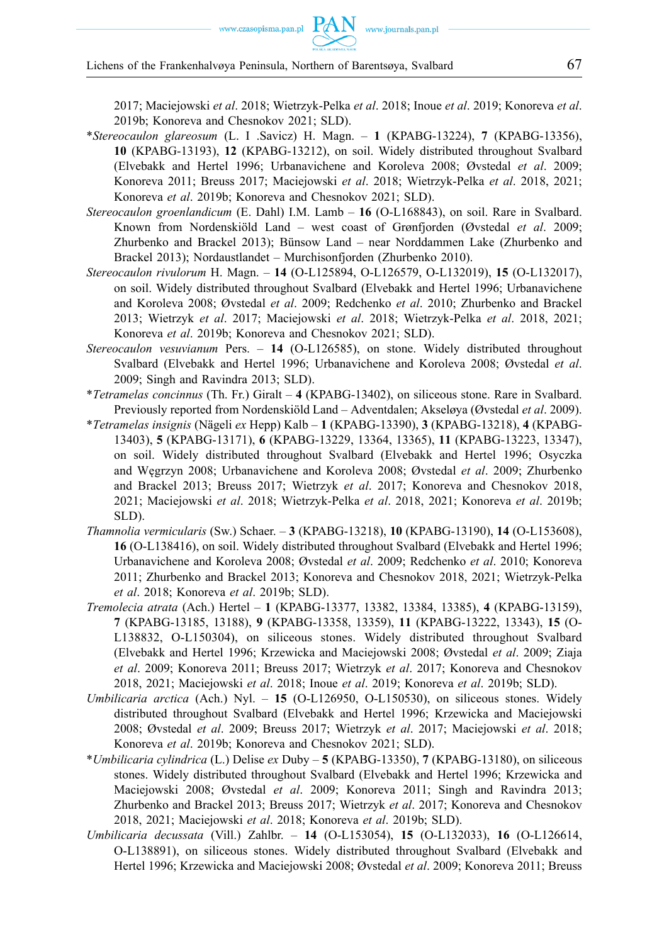2017; Maciejowski *et al*. 2018; Wietrzyk-Pelka *et al*. 2018; Inoue *et al*. 2019; Konoreva *et al*. 2019b; Konoreva and Chesnokov 2021; SLD).

- \**Stereocaulon glareosum* (L. I .Savicz) H. Magn. **1** (KPABG-13224), **7** (KPABG-13356), **10** (KPABG-13193), **12** (KPABG-13212), on soil. Widely distributed throughout Svalbard (Elvebakk and Hertel 1996; Urbanavichene and Koroleva 2008; Øvstedal *et al*. 2009; Konoreva 2011; Breuss 2017; Maciejowski *et al*. 2018; Wietrzyk-Pelka *et al*. 2018, 2021; Konoreva *et al*. 2019b; Konoreva and Chesnokov 2021; SLD).
- *Stereocaulon groenlandicum* (E. Dahl) I.M. Lamb **16** (O-L168843), on soil. Rare in Svalbard. Known from Nordenskiöld Land – west coast of Grønfjorden (Øvstedal *et al*. 2009; Zhurbenko and Brackel 2013); Bünsow Land – near Norddammen Lake (Zhurbenko and Brackel 2013); Nordaustlandet – Murchisonfjorden (Zhurbenko 2010).
- *Stereocaulon rivulorum* H. Magn. **14** (O-L125894, O-L126579, O-L132019), **15** (O-L132017), on soil. Widely distributed throughout Svalbard (Elvebakk and Hertel 1996; Urbanavichene and Koroleva 2008; Øvstedal *et al*. 2009; Redchenko *et al*. 2010; Zhurbenko and Brackel 2013; Wietrzyk *et al*. 2017; Maciejowski *et al*. 2018; Wietrzyk-Pelka *et al*. 2018, 2021; Konoreva *et al*. 2019b; Konoreva and Chesnokov 2021; SLD).
- *Stereocaulon vesuvianum* Pers. **14** (O-L126585), on stone. Widely distributed throughout Svalbard (Elvebakk and Hertel 1996; Urbanavichene and Koroleva 2008; Øvstedal *et al*. 2009; Singh and Ravindra 2013; SLD).
- \**Tetramelas concinnus* (Th. Fr.) Giralt **4** (KPABG-13402), on siliceous stone. Rare in Svalbard. Previously reported from Nordenskiöld Land – Adventdalen; Akseløya (Øvstedal *et al*. 2009).
- \**Tetramelas insignis* (Nägeli *ex* Hepp) Kalb **1** (KPABG-13390), **3** (KPABG-13218), **4** (KPABG-13403), **5** (KPABG-13171), **6** (KPABG-13229, 13364, 13365), **11** (KPABG-13223, 13347), on soil. Widely distributed throughout Svalbard (Elvebakk and Hertel 1996; Osyczka and Węgrzyn 2008; Urbanavichene and Koroleva 2008; Øvstedal *et al*. 2009; Zhurbenko and Brackel 2013; Breuss 2017; Wietrzyk *et al*. 2017; Konoreva and Chesnokov 2018, 2021; Maciejowski *et al*. 2018; Wietrzyk-Pelka *et al*. 2018, 2021; Konoreva *et al*. 2019b; SLD).
- *Thamnolia vermicularis* (Sw.) Schaer. **3** (KPABG-13218), **10** (KPABG-13190), **14** (O-L153608), **16** (O-L138416), on soil. Widely distributed throughout Svalbard (Elvebakk and Hertel 1996; Urbanavichene and Koroleva 2008; Øvstedal *et al*. 2009; Redchenko *et al*. 2010; Konoreva 2011; Zhurbenko and Brackel 2013; Konoreva and Chesnokov 2018, 2021; Wietrzyk-Pelka *et al*. 2018; Konoreva *et al*. 2019b; SLD).
- *Tremolecia atrata* (Ach.) Hertel **1** (KPABG-13377, 13382, 13384, 13385), **4** (KPABG-13159), **7** (KPABG-13185, 13188), **9** (KPABG-13358, 13359), **11** (KPABG-13222, 13343), **15** (O-L138832, O-L150304), on siliceous stones. Widely distributed throughout Svalbard (Elvebakk and Hertel 1996; Krzewicka and Maciejowski 2008; Øvstedal *et al*. 2009; Ziaja *et al*. 2009; Konoreva 2011; Breuss 2017; Wietrzyk *et al*. 2017; Konoreva and Chesnokov 2018, 2021; Maciejowski *et al*. 2018; Inoue *et al*. 2019; Konoreva *et al*. 2019b; SLD).
- *Umbilicaria arctica* (Ach.) Nyl. **15** (O-L126950, O-L150530), on siliceous stones. Widely distributed throughout Svalbard (Elvebakk and Hertel 1996; Krzewicka and Maciejowski 2008; Øvstedal *et al*. 2009; Breuss 2017; Wietrzyk *et al*. 2017; Maciejowski *et al*. 2018; Konoreva *et al*. 2019b; Konoreva and Chesnokov 2021; SLD).
- \**Umbilicaria cylindrica* (L.) Delise *ex* Duby **5** (KPABG-13350), **7** (KPABG-13180), on siliceous stones. Widely distributed throughout Svalbard (Elvebakk and Hertel 1996; Krzewicka and Maciejowski 2008; Øvstedal *et al*. 2009; Konoreva 2011; Singh and Ravindra 2013; Zhurbenko and Brackel 2013; Breuss 2017; Wietrzyk *et al*. 2017; Konoreva and Chesnokov 2018, 2021; Maciejowski *et al*. 2018; Konoreva *et al*. 2019b; SLD).
- *Umbilicaria decussata* (Vill.) Zahlbr. **14** (O-L153054), **15** (O-L132033), **16** (O-L126614, O-L138891), on siliceous stones. Widely distributed throughout Svalbard (Elvebakk and Hertel 1996; Krzewicka and Maciejowski 2008; Øvstedal *et al*. 2009; Konoreva 2011; Breuss